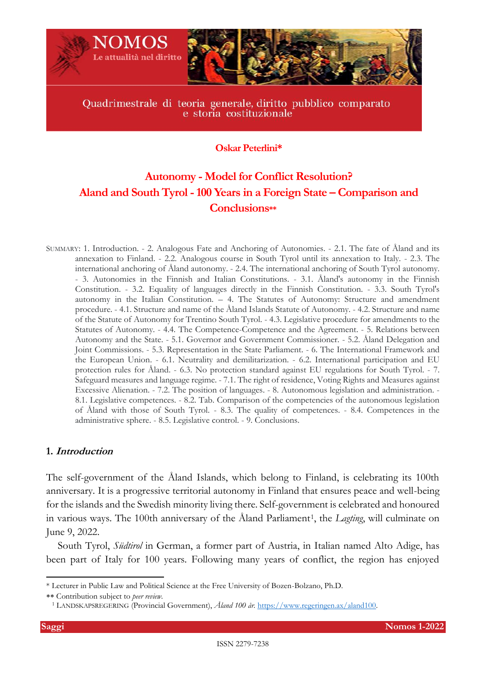

# **Oskar Peterlini\***

# **Autonomy - Model for Conflict Resolution? Aland and South Tyrol -100 Years in a Foreign State – Comparison and Conclusions\*\***

SUMMARY: 1. Introduction. - 2. Analogous Fate and Anchoring of Autonomies. - 2.1. The fate of Åland and its annexation to Finland. - 2.2. Analogous course in South Tyrol until its annexation to Italy. - 2.3. The international anchoring of Åland autonomy. - 2.4. The international anchoring of South Tyrol autonomy. - 3. Autonomies in the Finnish and Italian Constitutions. - 3.1. Åland's autonomy in the Finnish Constitution. - 3.2. Equality of languages directly in the Finnish Constitution. - 3.3. South Tyrol's autonomy in the Italian Constitution. – 4. The Statutes of Autonomy: Structure and amendment procedure. - 4.1. Structure and name of the Åland Islands Statute of Autonomy. - 4.2. Structure and name of the Statute of Autonomy for Trentino South Tyrol. - 4.3. Legislative procedure for amendments to the Statutes of Autonomy. - 4.4. The Competence-Competence and the Agreement. - 5. Relations between Autonomy and the State. - 5.1. Governor and Government Commissioner. - 5.2. Åland Delegation and Joint Commissions. - 5.3. Representation in the State Parliament. - 6. The International Framework and the European Union. - 6.1. Neutrality and demilitarization. - 6.2. International participation and EU protection rules for Åland. - 6.3. No protection standard against EU regulations for South Tyrol. - 7. Safeguard measures and language regime. - 7.1. The right of residence, Voting Rights and Measures against Excessive Alienation. - 7.2. The position of languages. - 8. Autonomous legislation and administration. - 8.1. Legislative competences. - 8.2. Tab. Comparison of the competencies of the autonomous legislation of Åland with those of South Tyrol. - 8.3. The quality of competences. - 8.4. Competences in the administrative sphere. - 8.5. Legislative control. - 9. Conclusions.

# **1. Introduction**

The self-government of the Åland Islands, which belong to Finland, is celebrating its 100th anniversary. It is a progressive territorial autonomy in Finland that ensures peace and well-being for the islands and the Swedish minority living there. Self-government is celebrated and honoured in various ways. The 100th anniversary of the Åland Parliament<sup>1</sup>, the *Lagting*, will culminate on June 9, 2022.

South Tyrol, *Südtirol* in German, a former part of Austria, in Italian named Alto Adige, has been part of Italy for 100 years. Following many years of conflict, the region has enjoyed

<sup>\*</sup> Lecturer in Public Law and Political Science at the Free University of Bozen-Bolzano, Ph.D.

Contribution subject to *peer review*.

<sup>1</sup> LANDSKAPSREGERING (Provincial Government), *Åland 100 år.* [https://www.regeringen.ax/aland100.](about:blank)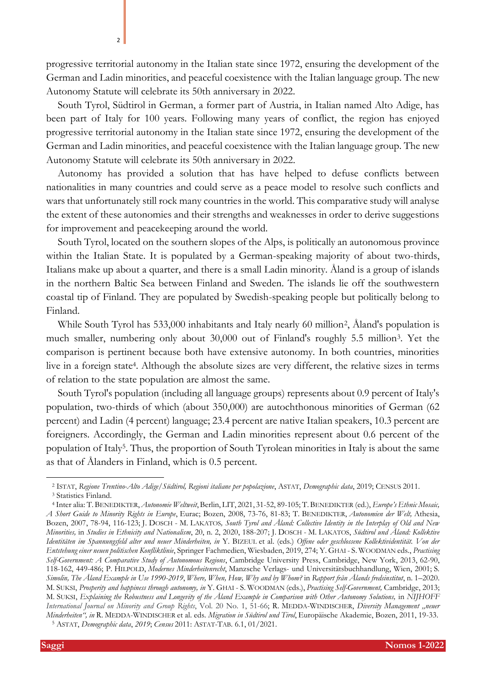progressive territorial autonomy in the Italian state since 1972, ensuring the development of the German and Ladin minorities, and peaceful coexistence with the Italian language group. The new Autonomy Statute will celebrate its 50th anniversary in 2022.

South Tyrol, Südtirol in German, a former part of Austria, in Italian named Alto Adige, has been part of Italy for 100 years. Following many years of conflict, the region has enjoyed progressive territorial autonomy in the Italian state since 1972, ensuring the development of the German and Ladin minorities, and peaceful coexistence with the Italian language group. The new Autonomy Statute will celebrate its 50th anniversary in 2022.

Autonomy has provided a solution that has have helped to defuse conflicts between nationalities in many countries and could serve as a peace model to resolve such conflicts and wars that unfortunately still rock many countries in the world. This comparative study will analyse the extent of these autonomies and their strengths and weaknesses in order to derive suggestions for improvement and peacekeeping around the world.

South Tyrol, located on the southern slopes of the Alps, is politically an autonomous province within the Italian State. It is populated by a German-speaking majority of about two-thirds, Italians make up about a quarter, and there is a small Ladin minority. Åland is a group of islands in the northern Baltic Sea between Finland and Sweden. The islands lie off the southwestern coastal tip of Finland. They are populated by Swedish-speaking people but politically belong to Finland.

While South Tyrol has 533,000 inhabitants and Italy nearly 60 million<sup>2</sup> , Åland's population is much smaller, numbering only about 30,000 out of Finland's roughly 5.5 million<sup>3</sup>. Yet the comparison is pertinent because both have extensive autonomy. In both countries, minorities live in a foreign state<sup>4</sup>. Although the absolute sizes are very different, the relative sizes in terms of relation to the state population are almost the same.

<span id="page-1-0"></span>South Tyrol's population (including all language groups) represents about 0.9 percent of Italy's population, two-thirds of which (about 350,000) are autochthonous minorities of German (62 percent) and Ladin (4 percent) language; 23.4 percent are native Italian speakers, 10.3 percent are foreigners. Accordingly, the German and Ladin minorities represent about 0.6 percent of the population of Italy<sup>5</sup>. Thus, the proportion of South Tyrolean minorities in Italy is about the same as that of Ålanders in Finland, which is 0.5 percent.

<sup>2</sup> ISTAT, *Regione Trentino-Alto Adige/Südtirol, Regioni italiane per popolazione*, ASTAT, *Demographic data*, 2019; CENSUS 2011.

<sup>&</sup>lt;sup>3</sup> Statistics Finland.

<sup>4</sup> Inter alia: T. BENEDIKTER, *Autonomie Weltweit*, Berlin, LIT, 2021, 31-52, 89-105; T. BENEDIKTER (ed.), *Europe's Ethnic Mosaic, A Short Guide to Minority Rights in Europe*, Eurac; Bozen, 2008, 73-76, 81-83; T. BENEDIKTER, *Autonomien der Welt,* Athesia, Bozen, 2007, 78-94, 116-123; J. DOSCH - M. LAKATOS*, South Tyrol and Åland: Collective Identity in the Interplay of Old and New Minorities,* in *Studies in Ethnicity and Nationalism*, 20, n. 2, 2020, 188-207; J. DOSCH - M. LAKATOS, *Südtirol und Åland: Kollektive Identitäten im Spannungsfeld alter und neuer Minderheiten, in* Y. BIZEUL et al. (eds.) *Offene oder geschlossene Kollektividentität. Von der Entstehung einer neuen politischen Konfliktlinie*, Springer Fachmedien, Wiesbaden, 2019, 274; Y. GHAI - S. WOODMAN eds., *Practising Self-Government: A Comparative Study of Autonomous Regions*, Cambridge University Press, Cambridge, New York, 2013, 62-90, 118-162, 449-486; P. HILPOLD, *Modernes Minderheitenrecht*, Manzsche Verlags- und Universitätsbuchhandlung, Wien, 2001; S*. Simolin, The Åland Example in Use 1990-2019*, *Where, When, How, Why and by Whom?* in *Rapport från Ålands fredsinstitut*, n. 1–2020. M. SUKSI, *Prosperity and happiness through autonomy, in* Y. GHAI - S. WOODMAN (eds.), *Practising Self-Government,* Cambridge, 2013; M. SUKSI, *Explaining the Robustness and Longevity of the Åland Example in Comparison with Other Autonomy Solutions, in NIJHOFF International Journal on Minority and Group Rights*, Vol. 20 No. 1, 51-66; R. MEDDA-WINDISCHER, *Diversity Management "neuer Minderheiten", in* R. MEDDA-WINDISCHER et al. eds. *Migration in Südtirol und Tirol*, Europäische Akademie, Bozen, 2011, 19-33. <sup>5</sup> ASTAT, *Demographic data*, *2019*; *Census* 2011: ASTAT-TAB. 6.1, 01/2021.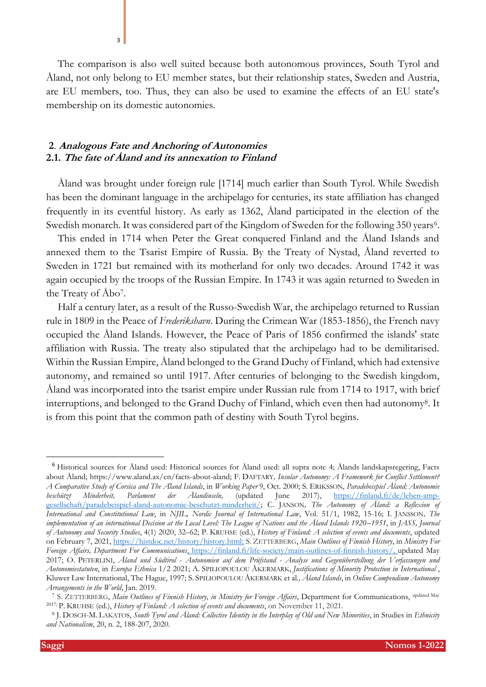The comparison is also well suited because both autonomous provinces, South Tyrol and Åland, not only belong to EU member states, but their relationship states, Sweden and Austria, are EU members, too. Thus, they can also be used to examine the effects of an EU state's membership on its domestic autonomies.

### **2**. **Analogous Fate and Anchoring of Autonomies 2.1. The fate of Åland and its annexation to Finland**

<span id="page-2-0"></span>3

Åland was brought under foreign rule [1714] much earlier than South Tyrol. While Swedish has been the dominant language in the archipelago for centuries, its state affiliation has changed frequently in its eventful history. As early as 1362, Åland participated in the election of the Swedish monarch. It was considered part of the Kingdom of Sweden for the following 350 years<sup>6</sup>.

This ended in 1714 when Peter the Great conquered Finland and the Åland Islands and annexed them to the Tsarist Empire of Russia. By the Treaty of Nystad, Åland reverted to Sweden in 1721 but remained with its motherland for only two decades. Around 1742 it was again occupied by the troops of the Russian Empire. In 1743 it was again returned to Sweden in the Treaty of Åbo<sup>7</sup> .

Half a century later, as a result of the Russo-Swedish War, the archipelago returned to Russian rule in 1809 in the Peace of *Frederikshavn*. During the Crimean War (1853-1856), the French navy occupied the Åland Islands. However, the Peace of Paris of 1856 confirmed the islands' state affiliation with Russia. The treaty also stipulated that the archipelago had to be demilitarised. Within the Russian Empire, Åland belonged to the Grand Duchy of Finland, which had extensive autonomy, and remained so until 1917. After centuries of belonging to the Swedish kingdom, Åland was incorporated into the tsarist empire under Russian rule from 1714 to 1917, with brief interruptions, and belonged to the Grand Duchy of Finland, which even then had autonomy<sup>8</sup> . It is from this point that the common path of destiny with South Tyrol begins.

<sup>6</sup> Historical sources for Åland used: Historical sources for Åland used: all supra note [4;](#page-1-0) Ålands landskapsregering, Facts about Åland; https://www.aland.ax/en/facts-about-aland; F. DAFTARY*, Insular Autonomy: A Framework for Conflict Settlement? A Comparative Study of Corsica and The Åland Islands*, in *Working Paper* 9, Oct. 2000; S. ERIKSSON, *Paradebeispiel Åland: Autonomie beschützt Minderheit, Parlament der Ålandinseln,* (updated June 2017), [https://finland.fi/de/leben-amp](about:blank)[gesellschaft/paradebeispiel-aland-autonomie-beschutzt-minderheit/;](about:blank) C. JANSON*, The Autonomy of Åland: a Reflexion of International and Constitutional Law*, in *NJIL, Nordic Journal of International Law*, Vol. 51/1, 1982, 15-16; I. JANSSON*, The implementation of an international Decision at the Local Level: The League of Nations and the Åland Islands 1920–1951*, in *JASS, Journal of Autonomy and Security Studies*, 4(1) 2020, 32–62; P. KRUHSE (ed.), *History of Finland: A selection of events and documents*, updated on February 7, 2021[, https://histdoc.net/history/history.html;](about:blank) S. ZETTERBERG, *Main Outlines of Finnish History*, in *Ministry For Foreign Affairs, Department For Communications*, [https://finland.fi/life-society/main-outlines-of-finnish-history/,](about:blank) updated May 2017; O. PETERLINI, *Åland und Südtirol - Autonomien auf dem Prüfstand - Analyse und Gegenüberstellung der Verfassungen und Autonomiestatuten*, in *Europa Ethnica* 1/2 2021; A. SPILIOPOULOU ÅKERMARK, *Justifications of Minority Protection in International* , Kluwer Law International, The Hague, 1997; S. SPILIOPOULOU ÅKERMARK et al*., Åland Islands*, in *Online Compendium Autonomy Arrangements in the World*, Jan. 2019.

<sup>7</sup> S. ZETTERBERG, *Main Outlines of Finnish History, in Ministry for Foreign Affairs*, Department for Communications, updated May 2017; P. KRUHSE (ed.), *History of Finland: A selection of events and documents*, on November 11, 2021.

<sup>8</sup> J. DOSCH-M. LAKATOS, *South Tyrol and Åland: Collective Identity in the Interplay of Old and New Minorities*, in Studies in *Ethnicity and Nationalism*, 20, n. 2, 188-207, 2020.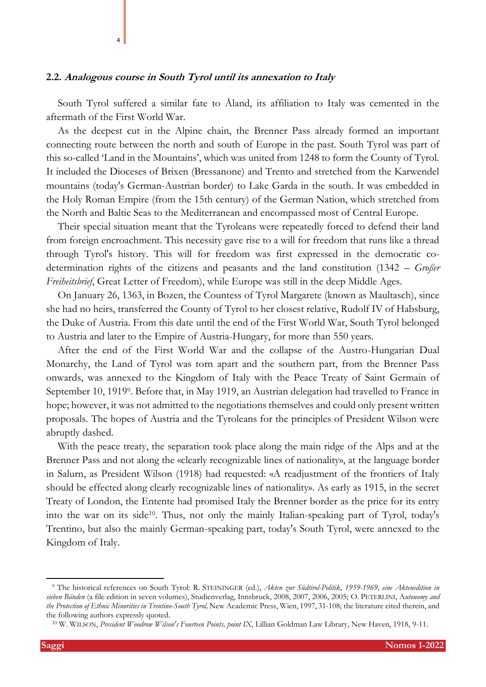### **2.2. Analogous course in South Tyrol until its annexation to Italy**

4

South Tyrol suffered a similar fate to Åland, its affiliation to Italy was cemented in the aftermath of the First World War.

As the deepest cut in the Alpine chain, the Brenner Pass already formed an important connecting route between the north and south of Europe in the past. South Tyrol was part of this so-called 'Land in the Mountains', which was united from 1248 to form the County of Tyrol. It included the Dioceses of Brixen (Bressanone) and Trento and stretched from the Karwendel mountains (today's German-Austrian border) to Lake Garda in the south. It was embedded in the Holy Roman Empire (from the 15th century) of the German Nation, which stretched from the North and Baltic Seas to the Mediterranean and encompassed most of Central Europe.

Their special situation meant that the Tyroleans were repeatedly forced to defend their land from foreign encroachment. This necessity gave rise to a will for freedom that runs like a thread through Tyrol's history. This will for freedom was first expressed in the democratic codetermination rights of the citizens and peasants and the land constitution (1342 – *Großer Freiheitsbrief*, Great Letter of Freedom), while Europe was still in the deep Middle Ages.

On January 26, 1363, in Bozen, the Countess of Tyrol Margarete (known as Maultasch), since she had no heirs, transferred the County of Tyrol to her closest relative, Rudolf IV of Habsburg, the Duke of Austria. From this date until the end of the First World War, South Tyrol belonged to Austria and later to the Empire of Austria-Hungary, for more than 550 years.

<span id="page-3-0"></span>After the end of the First World War and the collapse of the Austro-Hungarian Dual Monarchy, the Land of Tyrol was torn apart and the southern part, from the Brenner Pass onwards, was annexed to the Kingdom of Italy with the Peace Treaty of Saint Germain of September 10, 1919<sup>9</sup>. Before that, in May 1919, an Austrian delegation had travelled to France in hope; however, it was not admitted to the negotiations themselves and could only present written proposals. The hopes of Austria and the Tyroleans for the principles of President Wilson were abruptly dashed.

With the peace treaty, the separation took place along the main ridge of the Alps and at the Brenner Pass and not along the «clearly recognizable lines of nationality», at the language border in Salurn, as President Wilson (1918) had requested: «A readjustment of the frontiers of Italy should be effected along clearly recognizable lines of nationality». As early as 1915, in the secret Treaty of London, the Entente had promised Italy the Brenner border as the price for its entry into the war on its side<sup>10</sup>. Thus, not only the mainly Italian-speaking part of Tyrol, today's Trentino, but also the mainly German-speaking part, today's South Tyrol, were annexed to the Kingdom of Italy.

<sup>9</sup> The historical references on South Tyrol: R. STEININGER (ed.), *Akten zur Südtirol-Politik, 1959-1969, eine Aktenedition in sieben Bänden* (a file edition in seven volumes), Studienverlag, Innsbruck, 2008, 2007, 2006, 2005; O. PETERLINI, A*utonomy and the Protection of Ethnic Minorities in Trentino-South Tyrol,* New Academic Press, Wien, 1997, 31-108; the literature cited therein, and the following authors expressly quoted.

<sup>10</sup> W. WILSON, *President Woodrow Wilson's Fourteen Points, point IX*, Lillian Goldman Law Library, New Haven, 1918, 9-11.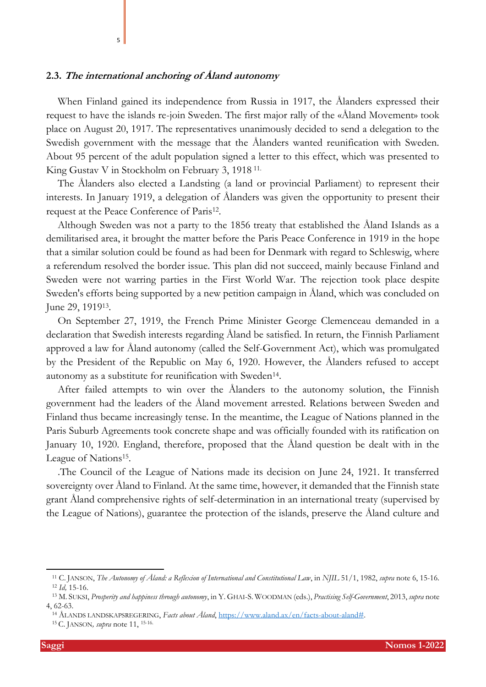### **2.3. The international anchoring of Åland autonomy**

<span id="page-4-0"></span>5

When Finland gained its independence from Russia in 1917, the Ålanders expressed their request to have the islands re-join Sweden. The first major rally of the «Åland Movement» took place on August 20, 1917. The representatives unanimously decided to send a delegation to the Swedish government with the message that the Ålanders wanted reunification with Sweden. About 95 percent of the adult population signed a letter to this effect, which was presented to King Gustav V in Stockholm on February 3, 1918 11.

The Ålanders also elected a Landsting (a land or provincial Parliament) to represent their interests. In January 1919, a delegation of Ålanders was given the opportunity to present their request at the Peace Conference of Paris<sup>12</sup>.

Although Sweden was not a party to the 1856 treaty that established the Åland Islands as a demilitarised area, it brought the matter before the Paris Peace Conference in 1919 in the hope that a similar solution could be found as had been for Denmark with regard to Schleswig, where a referendum resolved the border issue. This plan did not succeed, mainly because Finland and Sweden were not warring parties in the First World War. The rejection took place despite Sweden's efforts being supported by a new petition campaign in Åland, which was concluded on June 29, 1919<sup>13</sup>.

<span id="page-4-1"></span>On September 27, 1919, the French Prime Minister George Clemenceau demanded in a declaration that Swedish interests regarding Åland be satisfied. In return, the Finnish Parliament approved a law for Åland autonomy (called the Self-Government Act), which was promulgated by the President of the Republic on May 6, 1920. However, the Ålanders refused to accept autonomy as a substitute for reunification with Sweden<sup>14</sup>.

<span id="page-4-2"></span>After failed attempts to win over the Ålanders to the autonomy solution, the Finnish government had the leaders of the Åland movement arrested. Relations between Sweden and Finland thus became increasingly tense. In the meantime, the League of Nations planned in the Paris Suburb Agreements took concrete shape and was officially founded with its ratification on January 10, 1920. England, therefore, proposed that the Åland question be dealt with in the League of Nations<sup>15</sup>.

.The Council of the League of Nations made its decision on June 24, 1921. It transferred sovereignty over Åland to Finland. At the same time, however, it demanded that the Finnish state grant Åland comprehensive rights of self-determination in an international treaty (supervised by the League of Nations), guarantee the protection of the islands, preserve the Åland culture and

<sup>11</sup> C. JANSON, *The Autonomy of Åland: a Reflexion of International and Constitutional Law*, in *NJIL* 51/1, 1982, *supra* note [6,](#page-2-0) 15-16. <sup>12</sup> *Id,* 15-16.

<sup>13</sup> M. SUKSI, *Prosperity and happiness through autonomy*, in Y. GHAI-S. WOODMAN (eds.), *Practising Self-Government*, 2013, *supra* note [4,](#page-1-0) 62-63.

<sup>14</sup> ÅLANDS LANDSKAPSREGERING, *Facts about Åland*, [https://www.aland.ax/en/facts-about-aland#.](about:blank)

<sup>15</sup> C. JANSON*, supra* note [11,](#page-4-0) 15-16.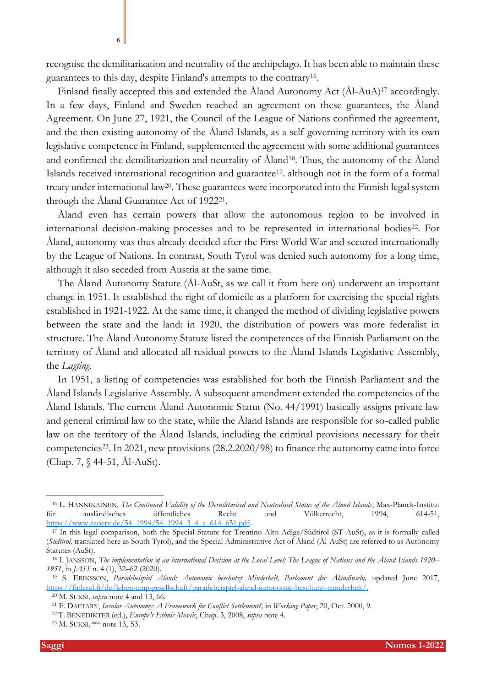Finland finally accepted this and extended the Åland Autonomy Act (Ål-AuA)<sup>17</sup> accordingly. In a few days, Finland and Sweden reached an agreement on these guarantees, the Åland Agreement. On June 27, 1921, the Council of the League of Nations confirmed the agreement, and the then-existing autonomy of the Åland Islands, as a self-governing territory with its own legislative competence in Finland, supplemented the agreement with some additional guarantees and confirmed the demilitarization and neutrality of Åland<sup>18</sup>. Thus, the autonomy of the Åland Islands received international recognition and guarantee19. although not in the form of a formal treaty under international law20. These guarantees were incorporated into the Finnish legal system through the Åland Guarantee Act of 1922<sup>21</sup> .

<span id="page-5-1"></span>Åland even has certain powers that allow the autonomous region to be involved in international decision-making processes and to be represented in international bodies<sup>22</sup>. For Åland, autonomy was thus already decided after the First World War and secured internationally by the League of Nations. In contrast, South Tyrol was denied such autonomy for a long time, although it also seceded from Austria at the same time.

The Åland Autonomy Statute (Ål-AuSt, as we call it from here on) underwent an important change in 1951. It established the right of domicile as a platform for exercising the special rights established in 1921-1922. At the same time, it changed the method of dividing legislative powers between the state and the land: in 1920, the distribution of powers was more federalist in structure. The Åland Autonomy Statute listed the competences of the Finnish Parliament on the territory of Åland and allocated all residual powers to the Åland Islands Legislative Assembly, the *Lagting*.

In 1951, a listing of competencies was established for both the Finnish Parliament and the Åland Islands Legislative Assembly. A subsequent amendment extended the competencies of the Åland Islands. The current Åland Autonomie Statut (No. 44/1991) basically assigns private law and general criminal law to the state, while the Åland Islands are responsible for so-called public law on the territory of the Åland Islands, including the criminal provisions necessary for their competencies<sup>23</sup>. In 2021, new provisions (28.2.2020/98) to finance the autonomy came into force (Chap. 7, § 44-51, Ål-AuSt).

<span id="page-5-0"></span>6

<sup>&</sup>lt;sup>16</sup> L. HANNIKAINEN, *The Continued Validity of the Dernilitarised and Neutralised Status of the Åland Islands*, Max-Planck-Institut<br>ir ausländisches öffentliches Recht und Völkerrecht. 1994. 614-51. für ausländisches öffentliches Recht und Völkerrecht, 1994, 614-51, [https://www.zaoerv.de/54\\_1994/54\\_1994\\_3\\_4\\_a\\_614\\_651.pdf.](about:blank)

 $17$  In this legal comparison, both the Special Statute for Trentino Alto Adige/Südtirol (ST-AuSt), as it is formally called (*Südtirol,* translated here as South Tyrol), and the Special Administrative Act of Åland (Ål-AuSt) are referred to as Autonomy Statutes (AuSt).

<sup>18</sup> I. JANSSON, *The implementation of an international Decision at the Local Level: The League of Nations and the Åland Islands 1920– 1951*, in *JASS* n. 4 (1), 32–62 (2020).

<sup>19</sup> S. ERIKSSON, *Paradebeispiel Åland: Autonomie beschützt Minderheit, Parlament der Ålandinseln,* updated June 2017, [https://finland.fi/de/leben-amp-gesellschaft/paradebeispiel-aland-autonomie-beschutzt-minderheit/.](about:blank)

<sup>20</sup> M. SUKSI*, supra* note [4](#page-1-0) and [13,](#page-4-1) 66.

<sup>21</sup> F. DAFTARY, *Insular Autonomy: A Framework for Conflict Settlement?,* in *Working Paper*, 20, Oct. 2000, 9.

<sup>22</sup> T. BENEDIKTER (ed.), *Europe's Ethnic Mosaic*, Chap. 3, 2008, *supra* note [4.](#page-1-0)

<sup>23</sup> M. SUKSI*, supra* note [13,](#page-4-1) 53.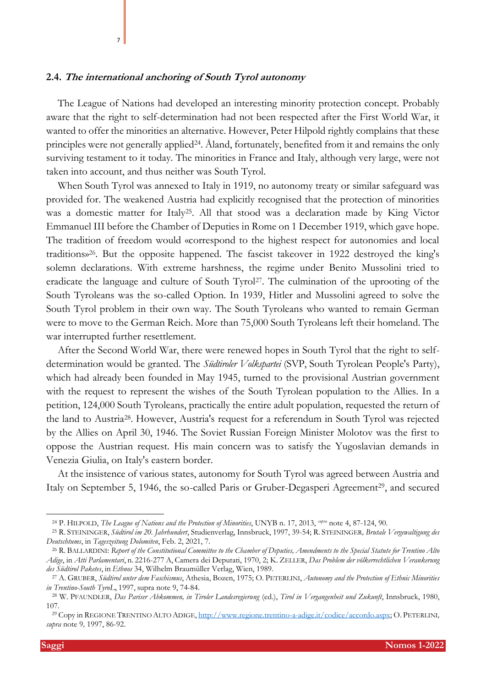### **2.4. The international anchoring of South Tyrol autonomy**

7

The League of Nations had developed an interesting minority protection concept. Probably aware that the right to self-determination had not been respected after the First World War, it wanted to offer the minorities an alternative. However, Peter Hilpold rightly complains that these principles were not generally applied<sup>24</sup>. Åland, fortunately, benefited from it and remains the only surviving testament to it today. The minorities in France and Italy, although very large, were not taken into account, and thus neither was South Tyrol.

When South Tyrol was annexed to Italy in 1919, no autonomy treaty or similar safeguard was provided for. The weakened Austria had explicitly recognised that the protection of minorities was a domestic matter for Italy25. All that stood was a declaration made by King Victor Emmanuel III before the Chamber of Deputies in Rome on 1 December 1919, which gave hope. The tradition of freedom would «correspond to the highest respect for autonomies and local traditions»26. But the opposite happened. The fascist takeover in 1922 destroyed the king's solemn declarations. With extreme harshness, the regime under Benito Mussolini tried to eradicate the language and culture of South Tyrol<sup>27</sup>. The culmination of the uprooting of the South Tyroleans was the so-called Option. In 1939, Hitler and Mussolini agreed to solve the South Tyrol problem in their own way. The South Tyroleans who wanted to remain German were to move to the German Reich. More than 75,000 South Tyroleans left their homeland. The war interrupted further resettlement.

After the Second World War, there were renewed hopes in South Tyrol that the right to selfdetermination would be granted. The *Südtiroler Volkspartei* (SVP, South Tyrolean People's Party), which had already been founded in May 1945, turned to the provisional Austrian government with the request to represent the wishes of the South Tyrolean population to the Allies. In a petition, 124,000 South Tyroleans, practically the entire adult population, requested the return of the land to Austria<sup>28</sup> . However, Austria's request for a referendum in South Tyrol was rejected by the Allies on April 30, 1946. The Soviet Russian Foreign Minister Molotov was the first to oppose the Austrian request. His main concern was to satisfy the Yugoslavian demands in Venezia Giulia, on Italy's eastern border.

At the insistence of various states, autonomy for South Tyrol was agreed between Austria and Italy on September 5, 1946, the so-called Paris or Gruber-Degasperi Agreement<sup>29</sup>, and secured

<sup>24</sup> P. HILPOLD, *The League of Nations and the Protection of Minorities*, UNYB n. 17, 2013, *supra* note [4,](#page-1-0) 87-124, 90.

<sup>25</sup> R. STEININGER, *Südtirol im 20. Jahrhundert*, Studienverlag, Innsbruck, 1997, 39-54; R. STEININGER*, Brutale Vergewaltigung des Deutschtums*, in *Tageszeitung Dolomiten*, Feb. 2, 2021, 7.

<sup>26</sup> R. BALLARDINI: *Report of the Constitutional Committee to the Chamber of Deputies, Amendments to the Special Statute for Trentino Alto Adige*, in *Atti Parlamentari*, n. 2216-277 A, Camera dei Deputati, 1970, 2; K. ZELLER, *Das Problem der völkerrechtlichen Verankerung des Südtirol Paketes*, in *Ethnos* 34, Wilhelm Braumüller Verlag, Wien, 1989.

<sup>27</sup> A. GRUBER, *Südtirol unter dem Faschismus*, Athesia, Bozen, 1975; O. PETERLINI, *Autonomy and the Protection of Ethnic Minorities in Trentino-South TyroL*, 1997, supra note [9,](#page-3-0) 74-84.

<sup>28</sup> W. PFAUNDLER, *Das Pariser Abkommen, in Tiroler Landesregierung* (ed.), *Tirol in Vergangenheit und Zukunft*, Innsbruck, 1980, 107.

<sup>29</sup> Copy in REGIONE TRENTINO ALTO ADIGE[, http://www.regione.trentino-a-adige.it/codice/accordo.aspx;](about:blank) O. PETERLINI*, supra* note [9](#page-3-0)*,* 1997, 86-92.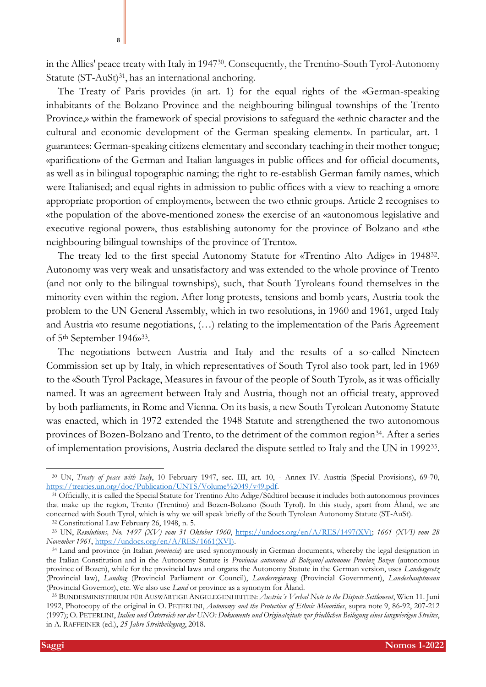in the Allies' peace treaty with Italy in 1947<sup>30</sup> . Consequently, the Trentino-South Tyrol-Autonomy Statute (ST-AuSt)<sup>31</sup>, has an international anchoring.

The Treaty of Paris provides (in art. 1) for the equal rights of the «German-speaking inhabitants of the Bolzano Province and the neighbouring bilingual townships of the Trento Province,» within the framework of special provisions to safeguard the «ethnic character and the cultural and economic development of the German speaking element». In particular, art. 1 guarantees: German-speaking citizens elementary and secondary teaching in their mother tongue; «parification» of the German and Italian languages in public offices and for official documents, as well as in bilingual topographic naming; the right to re-establish German family names, which were Italianised; and equal rights in admission to public offices with a view to reaching a «more appropriate proportion of employment», between the two ethnic groups. Article 2 recognises to «the population of the above-mentioned zones» the exercise of an «autonomous legislative and executive regional power», thus establishing autonomy for the province of Bolzano and «the neighbouring bilingual townships of the province of Trento».

The treaty led to the first special Autonomy Statute for «Trentino Alto Adige» in 1948<sup>32</sup>. Autonomy was very weak and unsatisfactory and was extended to the whole province of Trento (and not only to the bilingual townships), such, that South Tyroleans found themselves in the minority even within the region. After long protests, tensions and bomb years, Austria took the problem to the UN General Assembly, which in two resolutions, in 1960 and 1961, urged Italy and Austria «to resume negotiations, (…) relating to the implementation of the Paris Agreement of 5<sup>th</sup> September 1946»<sup>33</sup>.

The negotiations between Austria and Italy and the results of a so-called Nineteen Commission set up by Italy, in which representatives of South Tyrol also took part, led in 1969 to the «South Tyrol Package, Measures in favour of the people of South Tyrol», as it was officially named. It was an agreement between Italy and Austria, though not an official treaty, approved by both parliaments, in Rome and Vienna. On its basis, a new South Tyrolean Autonomy Statute was enacted, which in 1972 extended the 1948 Statute and strengthened the two autonomous provinces of Bozen-Bolzano and Trento, to the detriment of the common region<sup>34</sup>. After a series of implementation provisions, Austria declared the dispute settled to Italy and the UN in 1992<sup>35</sup> .

<span id="page-7-0"></span><sup>30</sup> UN, *Treaty of peace with Italy*, 10 February 1947, sec. III, art. 10, - Annex IV. Austria (Special Provisions), 69-70, [https://treaties.un.org/doc/Publication/UNTS/Volume%2049/v49.pdf.](about:blank)

 $3\overline{1}$  Officially, it is called the Special Statute for Trentino Alto Adige/Südtirol because it includes both autonomous provinces that make up the region, Trento (Trentino) and Bozen-Bolzano (South Tyrol). In this study, apart from Åland, we are concerned with South Tyrol, which is why we will speak briefly of the South Tyrolean Autonomy Statute (ST-AuSt).

<sup>32</sup> Constitutional Law February 26, 1948, n. 5.

<sup>33</sup> UN, *Resolutions, No. 1497 (XV) vom 31 Oktober 1960*, [https://undocs.org/en/A/RES/1497\(XV\);](about:blank) *1661 (XVI) vom 28 November 1961*, [https://undocs.org/en/A/RES/1661\(XVI\).](about:blank)

<sup>34</sup> Land and province (in Italian *provincia*) are used synonymously in German documents, whereby the legal designation in the Italian Constitution and in the Autonomy Statute is *Provincia autonoma di Bolzano/autonome Provinz Bozen* (autonomous province of Bozen), while for the provincial laws and organs the Autonomy Statute in the German version, uses *Landesgesetz* (Provincial law), *Landtag* (Provincial Parliament or Council), *Landesregierung* (Provincial Government), *Landeshauptmann* (Provincial Governor), etc. We also use *Land* or province as a synonym for Åland.

<sup>35</sup> BUNDESMINISTERIUM FÜR AUSWÄRTIGE ANGELEGENHEITEN: *Austria´s Verbal Note to the Dispute Settlement*, Wien 11. Juni 1992, Photocopy of the original in O. PETERLINI, *Autonomy and the Protection of Ethnic Minorities*, supra note [9,](#page-3-0) 86-92, 207-212 (1997); O. PETERLINI, *Italien und Österreich vor der UNO: Dokumente und Originalzitate zur friedlichen Beilegung eines langwierigen Streites*, in A. RAFFEINER (ed.), *25 Jahre Streitbeilegung*, 2018.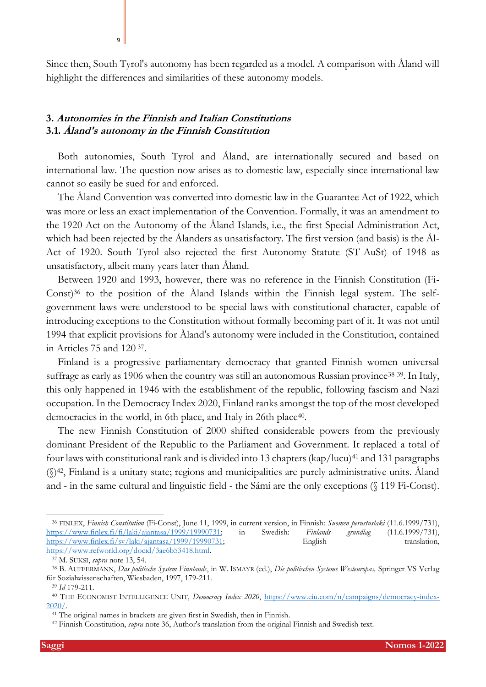Since then, South Tyrol's autonomy has been regarded as a model. A comparison with Åland will highlight the differences and similarities of these autonomy models.

# **3. Autonomies in the Finnish and Italian Constitutions 3.1. Åland's autonomy in the Finnish Constitution**

 $\overline{q}$ 

Both autonomies, South Tyrol and Åland, are internationally secured and based on international law. The question now arises as to domestic law, especially since international law cannot so easily be sued for and enforced.

The Åland Convention was converted into domestic law in the Guarantee Act of 1922, which was more or less an exact implementation of the Convention. Formally, it was an amendment to the 1920 Act on the Autonomy of the Åland Islands, i.e., the first Special Administration Act, which had been rejected by the Ålanders as unsatisfactory. The first version (and basis) is the Ål-Act of 1920. South Tyrol also rejected the first Autonomy Statute (ST-AuSt) of 1948 as unsatisfactory, albeit many years later than Åland.

<span id="page-8-0"></span>Between 1920 and 1993, however, there was no reference in the Finnish Constitution (Fi-Const)<sup>36</sup> to the position of the Åland Islands within the Finnish legal system. The selfgovernment laws were understood to be special laws with constitutional character, capable of introducing exceptions to the Constitution without formally becoming part of it. It was not until 1994 that explicit provisions for Åland's autonomy were included in the Constitution, contained in Articles 75 and 120 <sup>37</sup> .

Finland is a progressive parliamentary democracy that granted Finnish women universal suffrage as early as 1906 when the country was still an autonomous Russian province<sup>38 39</sup>. In Italy, this only happened in 1946 with the establishment of the republic, following fascism and Nazi occupation. In the Democracy Index 2020, Finland ranks amongst the top of the most developed democracies in the world, in 6th place, and Italy in 26th place<sup>40</sup>.

The new Finnish Constitution of 2000 shifted considerable powers from the previously dominant President of the Republic to the Parliament and Government. It replaced a total of four laws with constitutional rank and is divided into 13 chapters (kap/lucu)<sup>41</sup> and 131 paragraphs  $(\mathbb{S})^{42}$ , Finland is a unitary state; regions and municipalities are purely administrative units. Åland and - in the same cultural and linguistic field - the Sámi are the only exceptions (§ 119 Fi-Const).

<sup>36</sup> FINLEX, *Finnish Constitution* (Fi-Const), June 11, 1999, in current version, in Finnish: *Suomen perustuslaki* (11.6.1999/731), [https://www.finlex.fi/fi/laki/ajantasa/1999/19990731;](about:blank) in Swedish: *Finlands grundlag* (11.6.1999/731), [https://www.finlex.fi/sv/laki/ajantasa/1999/19990731;](about:blank) English translation, [https://www.refworld.org/docid/3ae6b53418.html.](about:blank)

<sup>37</sup> M. SUKSI, *supra* note [13,](#page-4-1) 54.

<sup>38</sup> B. AUFFERMANN, *Das politische System Finnlands*, in W. ISMAYR (ed.), *Die politischen Systeme Westeuropas,* Springer VS Verlag für Sozialwissenschaften, Wiesbaden, 1997, 179-211.

<sup>39</sup> *Id* 179-211.

<sup>40</sup> THE ECONOMIST INTELLIGENCE UNIT, *Democracy Index 2020*, [https://www.eiu.com/n/campaigns/democracy-index-](about:blank)[2020/.](about:blank)

<sup>41</sup> The original names in brackets are given first in Swedish, then in Finnish.

<sup>42</sup> Finnish Constitution, *supra* note [36,](#page-8-0) Author's translation from the original Finnish and Swedish text.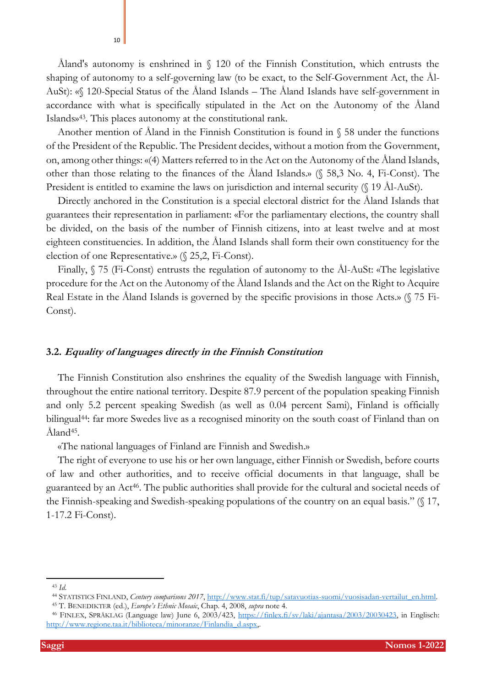Åland's autonomy is enshrined in § 120 of the Finnish Constitution, which entrusts the shaping of autonomy to a self-governing law (to be exact, to the Self-Government Act, the Ål-AuSt): «§ 120-Special Status of the Åland Islands – The Åland Islands have self-government in accordance with what is specifically stipulated in the Act on the Autonomy of the Åland Islands»43. This places autonomy at the constitutional rank.

Another mention of Åland in the Finnish Constitution is found in § 58 under the functions of the President of the Republic. The President decides, without a motion from the Government, on, among other things: «(4) Matters referred to in the Act on the Autonomy of the Åland Islands, other than those relating to the finances of the Åland Islands.» (§ 58,3 No. 4, Fi-Const). The President is entitled to examine the laws on jurisdiction and internal security (§ 19 Ål-AuSt).

Directly anchored in the Constitution is a special electoral district for the Åland Islands that guarantees their representation in parliament: «For the parliamentary elections, the country shall be divided, on the basis of the number of Finnish citizens, into at least twelve and at most eighteen constituencies. In addition, the Åland Islands shall form their own constituency for the election of one Representative.» (§ 25,2, Fi-Const).

Finally, § 75 (Fi-Const) entrusts the regulation of autonomy to the Ål-AuSt: «The legislative procedure for the Act on the Autonomy of the Åland Islands and the Act on the Right to Acquire Real Estate in the Åland Islands is governed by the specific provisions in those Acts.» (§ 75 Fi-Const).

### **3.2. Equality of languages directly in the Finnish Constitution**

The Finnish Constitution also enshrines the equality of the Swedish language with Finnish, throughout the entire national territory. Despite 87.9 percent of the population speaking Finnish and only 5.2 percent speaking Swedish (as well as 0.04 percent Sami), Finland is officially bilingual<sup>44</sup>: far more Swedes live as a recognised minority on the south coast of Finland than on Åland<sup>45</sup>.

<span id="page-9-0"></span>«The national languages of Finland are Finnish and Swedish.»

The right of everyone to use his or her own language, either Finnish or Swedish, before courts of law and other authorities, and to receive official documents in that language, shall be guaranteed by an Act46. The public authorities shall provide for the cultural and societal needs of the Finnish-speaking and Swedish-speaking populations of the country on an equal basis." (§ 17, 1-17.2 Fi-Const).

<sup>43</sup> *Id.*

<sup>44</sup> STATISTICS FINLAND, *Century comparisons 2017*, [http://www.stat.fi/tup/satavuotias-suomi/vuosisadan-vertailut\\_en.html.](about:blank)

<sup>45</sup> T. BENEDIKTER (ed.), *Europe's Ethnic Mosaic*, Chap. 4, 2008, *supra* note [4.](#page-1-0)

<sup>46</sup> FINLEX, SPRÅKLAG (Language law) June 6, 2003/423, [https://finlex.fi/sv/laki/ajantasa/2003/20030423,](about:blank) in Englisch: [http://www.regione.taa.it/biblioteca/minoranze/Finlandia\\_d.aspx,.](about:blank)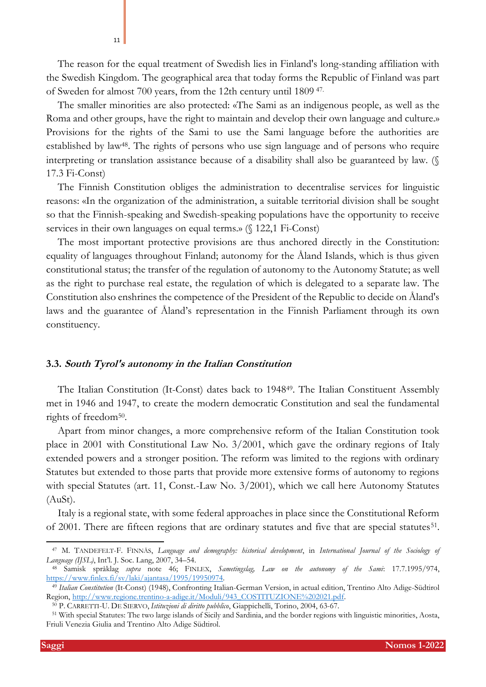The reason for the equal treatment of Swedish lies in Finland's long-standing affiliation with the Swedish Kingdom. The geographical area that today forms the Republic of Finland was part of Sweden for almost 700 years, from the 12th century until 1809 47.

The smaller minorities are also protected: «The Sami as an indigenous people, as well as the Roma and other groups, have the right to maintain and develop their own language and culture.» Provisions for the rights of the Sami to use the Sami language before the authorities are established by law48. The rights of persons who use sign language and of persons who require interpreting or translation assistance because of a disability shall also be guaranteed by law. (§ 17.3 Fi-Const)

The Finnish Constitution obliges the administration to decentralise services for linguistic reasons: «In the organization of the administration, a suitable territorial division shall be sought so that the Finnish-speaking and Swedish-speaking populations have the opportunity to receive services in their own languages on equal terms.» (§ 122,1 Fi-Const)

The most important protective provisions are thus anchored directly in the Constitution: equality of languages throughout Finland; autonomy for the Åland Islands, which is thus given constitutional status; the transfer of the regulation of autonomy to the Autonomy Statute; as well as the right to purchase real estate, the regulation of which is delegated to a separate law. The Constitution also enshrines the competence of the President of the Republic to decide on Åland's laws and the guarantee of Åland's representation in the Finnish Parliament through its own constituency.

#### **3.3. South Tyrol's autonomy in the Italian Constitution**

The Italian Constitution (It-Const) dates back to 194849. The Italian Constituent Assembly met in 1946 and 1947, to create the modern democratic Constitution and seal the fundamental rights of freedom<sup>50</sup>.

Apart from minor changes, a more comprehensive reform of the Italian Constitution took place in 2001 with Constitutional Law No. 3/2001, which gave the ordinary regions of Italy extended powers and a stronger position. The reform was limited to the regions with ordinary Statutes but extended to those parts that provide more extensive forms of autonomy to regions with special Statutes (art. 11, Const.-Law No. 3/2001), which we call here Autonomy Statutes (AuSt).

Italy is a regional state, with some federal approaches in place since the Constitutional Reform of 2001. There are fifteen regions that are ordinary statutes and five that are special statutes<sup>51</sup>.

<sup>47</sup> M. TANDEFELT-F. FINNÄS, *Language and demography: historical development*, in *International Journal of the Sociology of Language (IJSL)*, Int'l. J. Soc. Lang, 2007, 34–54.

<sup>48</sup> Samisk språklag *supra* note [46;](#page-9-0) FINLEX, *Sametingslag, Law on the autonomy of the Sami*: 17.7.1995/974, [https://www.finlex.fi/sv/laki/ajantasa/1995/19950974.](about:blank)

<sup>49</sup> *Italian Constitution* (It-Const) (1948), Confronting Italian-German Version, in actual edition, Trentino Alto Adige-Südtirol Region, [http://www.regione.trentino-a-adige.it/Moduli/943\\_COSTITUZIONE%202021.pdf.](about:blank) 

<sup>50</sup> P. CARRETTI-U. DE SIERVO, *Istituzioni di diritto pubblico*, Giappichelli, Torino, 2004, 63-67.

<sup>51</sup> With special Statutes: The two large islands of Sicily and Sardinia, and the border regions with linguistic minorities, Aosta, Friuli Venezia Giulia and Trentino Alto Adige Südtirol.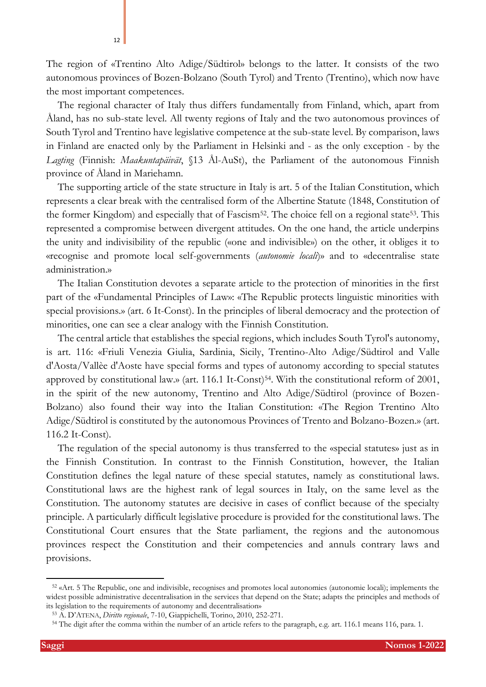The region of «Trentino Alto Adige/Südtirol» belongs to the latter. It consists of the two autonomous provinces of Bozen-Bolzano (South Tyrol) and Trento (Trentino), which now have the most important competences.

The regional character of Italy thus differs fundamentally from Finland, which, apart from Åland, has no sub-state level. All twenty regions of Italy and the two autonomous provinces of South Tyrol and Trentino have legislative competence at the sub-state level. By comparison, laws in Finland are enacted only by the Parliament in Helsinki and - as the only exception - by the *Lagting* (Finnish: *Maakuntapäivät*, §13 Ål-AuSt), the Parliament of the autonomous Finnish province of Åland in Mariehamn.

The supporting article of the state structure in Italy is art. 5 of the Italian Constitution, which represents a clear break with the centralised form of the Albertine Statute (1848, Constitution of the former Kingdom) and especially that of Fascism<sup>52</sup>. The choice fell on a regional state<sup>53</sup>. This represented a compromise between divergent attitudes. On the one hand, the article underpins the unity and indivisibility of the republic («one and indivisible») on the other, it obliges it to «recognise and promote local self-governments (*autonomie locali*)» and to «decentralise state administration.»

The Italian Constitution devotes a separate article to the protection of minorities in the first part of the «Fundamental Principles of Law»: «The Republic protects linguistic minorities with special provisions.» (art. 6 It-Const). In the principles of liberal democracy and the protection of minorities, one can see a clear analogy with the Finnish Constitution.

The central article that establishes the special regions, which includes South Tyrol's autonomy, is art. 116: «Friuli Venezia Giulia, Sardinia, Sicily, Trentino-Alto Adige/Südtirol and Valle d'Aosta/Vallèe d'Aoste have special forms and types of autonomy according to special statutes approved by constitutional law.» (art. 116.1 It-Const)<sup>54</sup>. With the constitutional reform of 2001, in the spirit of the new autonomy, Trentino and Alto Adige/Südtirol (province of Bozen-Bolzano) also found their way into the Italian Constitution: «The Region Trentino Alto Adige/Südtirol is constituted by the autonomous Provinces of Trento and Bolzano-Bozen.» (art. 116.2 It-Const).

The regulation of the special autonomy is thus transferred to the «special statutes» just as in the Finnish Constitution. In contrast to the Finnish Constitution, however, the Italian Constitution defines the legal nature of these special statutes, namely as constitutional laws. Constitutional laws are the highest rank of legal sources in Italy, on the same level as the Constitution. The autonomy statutes are decisive in cases of conflict because of the specialty principle. A particularly difficult legislative procedure is provided for the constitutional laws. The Constitutional Court ensures that the State parliament, the regions and the autonomous provinces respect the Constitution and their competencies and annuls contrary laws and provisions.

<sup>52</sup> «Art. 5 The Republic, one and indivisible, recognises and promotes local autonomies (autonomie locali); implements the widest possible administrative decentralisation in the services that depend on the State; adapts the principles and methods of its legislation to the requirements of autonomy and decentralisation»

<sup>53</sup> A. D'ATENA, *Diritto regionale*, 7-10, Giappichelli, Torino, 2010, 252-271.

<sup>&</sup>lt;sup>54</sup> The digit after the comma within the number of an article refers to the paragraph, e.g. art. 116.1 means 116, para. 1.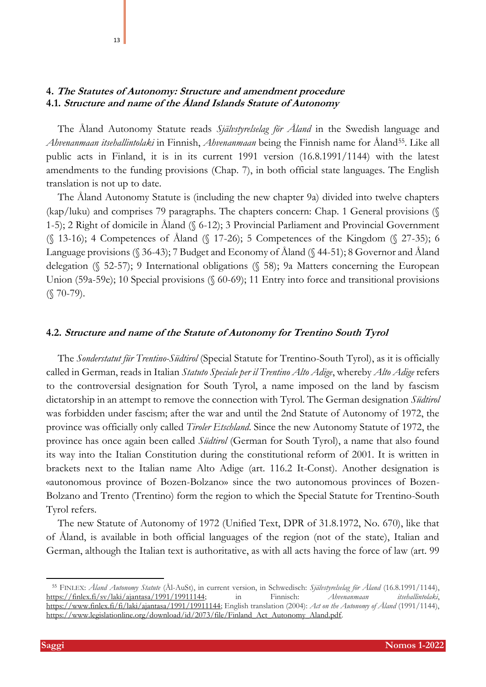# **4. The Statutes of Autonomy: Structure and amendment procedure 4.1. Structure and name of the Åland Islands Statute of Autonomy**

<span id="page-12-0"></span>13

The Åland Autonomy Statute reads *Självstyrelselag för Åland* in the Swedish language and *Ahvenanmaan itsehallintolaki* in Finnish, *Ahvenanmaan* being the Finnish name for Åland55. Like all public acts in Finland, it is in its current 1991 version (16.8.1991/1144) with the latest amendments to the funding provisions (Chap. 7), in both official state languages. The English translation is not up to date.

The Åland Autonomy Statute is (including the new chapter 9a) divided into twelve chapters (kap/luku) and comprises 79 paragraphs. The chapters concern: Chap. 1 General provisions (§ 1-5); 2 Right of domicile in Åland (§ 6-12); 3 Provincial Parliament and Provincial Government (§ 13-16); 4 Competences of Åland (§ 17-26); 5 Competences of the Kingdom (§ 27-35); 6 Language provisions (§ 36-43); 7 Budget and Economy of Åland (§ 44-51); 8 Governor and Åland delegation (§ 52-57); 9 International obligations (§ 58); 9a Matters concerning the European Union (59a-59e); 10 Special provisions (§ 60-69); 11 Entry into force and transitional provisions  $(S 70-79)$ .

### **4.2. Structure and name of the Statute of Autonomy for Trentino South Tyrol**

The *Sonderstatut für Trentino-Südtirol* (Special Statute for Trentino-South Tyrol), as it is officially called in German, reads in Italian *Statuto Speciale per il Trentino Alto Adige*, whereby *Alto Adige* refers to the controversial designation for South Tyrol, a name imposed on the land by fascism dictatorship in an attempt to remove the connection with Tyrol. The German designation *Südtirol* was forbidden under fascism; after the war and until the 2nd Statute of Autonomy of 1972, the province was officially only called *Tiroler Etschland*. Since the new Autonomy Statute of 1972, the province has once again been called *Südtirol* (German for South Tyrol), a name that also found its way into the Italian Constitution during the constitutional reform of 2001. It is written in brackets next to the Italian name Alto Adige (art. 116.2 It-Const). Another designation is «autonomous province of Bozen-Bolzano» since the two autonomous provinces of Bozen-Bolzano and Trento (Trentino) form the region to which the Special Statute for Trentino-South Tyrol refers.

The new Statute of Autonomy of 1972 (Unified Text, DPR of 31.8.1972, No. 670), like that of Åland, is available in both official languages of the region (not of the state), Italian and German, although the Italian text is authoritative, as with all acts having the force of law (art. 99

<sup>55</sup> FINLEX: *Åland Autonomy Statute* (Ål-AuSt), in current version, in Schwedisch: *Självstyrelselag för Åland* (16.8.1991/1144), [https://finlex.fi/sv/laki/ajantasa/1991/19911144;](about:blank) in Finnisch: *Ahvenanmaan itsehallintolaki*, [https://www.finlex.fi/fi/laki/ajantasa/1991/19911144;](about:blank) English translation (2004): *Act on the Autonomy of Åland* (1991/1144), [https://www.legislationline.org/download/id/2073/file/Finland\\_Act\\_Autonomy\\_Aland.pdf.](about:blank)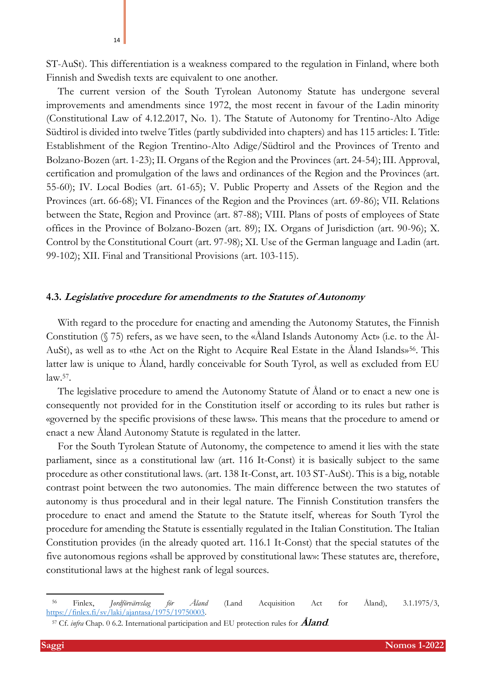ST-AuSt). This differentiation is a weakness compared to the regulation in Finland, where both Finnish and Swedish texts are equivalent to one another.

The current version of the South Tyrolean Autonomy Statute has undergone several improvements and amendments since 1972, the most recent in favour of the Ladin minority (Constitutional Law of 4.12.2017, No. 1). The Statute of Autonomy for Trentino-Alto Adige Südtirol is divided into twelve Titles (partly subdivided into chapters) and has 115 articles: I. Title: Establishment of the Region Trentino-Alto Adige/Südtirol and the Provinces of Trento and Bolzano-Bozen (art. 1-23); II. Organs of the Region and the Provinces (art. 24-54); III. Approval, certification and promulgation of the laws and ordinances of the Region and the Provinces (art. 55-60); IV. Local Bodies (art. 61-65); V. Public Property and Assets of the Region and the Provinces (art. 66-68); VI. Finances of the Region and the Provinces (art. 69-86); VII. Relations between the State, Region and Province (art. 87-88); VIII. Plans of posts of employees of State offices in the Province of Bolzano-Bozen (art. 89); IX. Organs of Jurisdiction (art. 90-96); X. Control by the Constitutional Court (art. 97-98); XI. Use of the German language and Ladin (art. 99-102); XII. Final and Transitional Provisions (art. 103-115).

### **4.3. Legislative procedure for amendments to the Statutes of Autonomy**

<span id="page-13-0"></span>With regard to the procedure for enacting and amending the Autonomy Statutes, the Finnish Constitution (§ 75) refers, as we have seen, to the «Åland Islands Autonomy Act» (i.e. to the Ål-AuSt), as well as to «the Act on the Right to Acquire Real Estate in the Aland Islands»<sup>56</sup>. This latter law is unique to Åland, hardly conceivable for South Tyrol, as well as excluded from EU law.<sup>57</sup> .

The legislative procedure to amend the Autonomy Statute of Åland or to enact a new one is consequently not provided for in the Constitution itself or according to its rules but rather is «governed by the specific provisions of these laws». This means that the procedure to amend or enact a new Åland Autonomy Statute is regulated in the latter.

For the South Tyrolean Statute of Autonomy, the competence to amend it lies with the state parliament, since as a constitutional law (art. 116 It-Const) it is basically subject to the same procedure as other constitutional laws. (art. 138 It-Const, art. 103 ST-AuSt). This is a big, notable contrast point between the two autonomies. The main difference between the two statutes of autonomy is thus procedural and in their legal nature. The Finnish Constitution transfers the procedure to enact and amend the Statute to the Statute itself, whereas for South Tyrol the procedure for amending the Statute is essentially regulated in the Italian Constitution. The Italian Constitution provides (in the already quoted art. 116.1 It-Const) that the special statutes of the five autonomous regions «shall be approved by constitutional law»: These statutes are, therefore, constitutional laws at the highest rank of legal sources.

<sup>56</sup> Finlex, *Jordförvärvslag för Åland* (Land Acquisition Act for Åland), 3.1.1975/3, [https://finlex.fi/sv/laki/ajantasa/1975/19750003.](about:blank)

<sup>57</sup> Cf. *infra* Chap. [0](#page-18-0) 6.2. [International participation and EU protection rules for](#page-18-0) **[Åland](#page-18-0)**.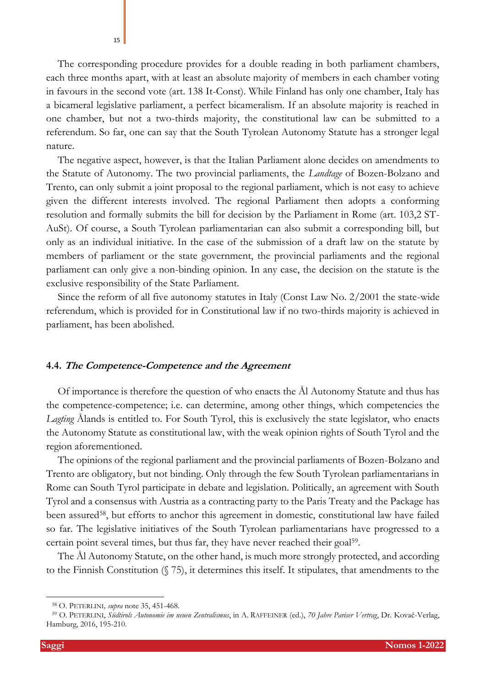The corresponding procedure provides for a double reading in both parliament chambers, each three months apart, with at least an absolute majority of members in each chamber voting in favours in the second vote (art. 138 It-Const). While Finland has only one chamber, Italy has a bicameral legislative parliament, a perfect bicameralism. If an absolute majority is reached in one chamber, but not a two-thirds majority, the constitutional law can be submitted to a referendum. So far, one can say that the South Tyrolean Autonomy Statute has a stronger legal nature.

The negative aspect, however, is that the Italian Parliament alone decides on amendments to the Statute of Autonomy. The two provincial parliaments, the *Landtage* of Bozen-Bolzano and Trento, can only submit a joint proposal to the regional parliament, which is not easy to achieve given the different interests involved. The regional Parliament then adopts a conforming resolution and formally submits the bill for decision by the Parliament in Rome (art. 103,2 ST-AuSt). Of course, a South Tyrolean parliamentarian can also submit a corresponding bill, but only as an individual initiative. In the case of the submission of a draft law on the statute by members of parliament or the state government, the provincial parliaments and the regional parliament can only give a non-binding opinion. In any case, the decision on the statute is the exclusive responsibility of the State Parliament.

Since the reform of all five autonomy statutes in Italy (Const Law No. 2/2001 the state-wide referendum, which is provided for in Constitutional law if no two-thirds majority is achieved in parliament, has been abolished.

### **4.4. The Competence-Competence and the Agreement**

Of importance is therefore the question of who enacts the Ål Autonomy Statute and thus has the competence-competence; i.e. can determine, among other things, which competencies the *Lagting* Ålands is entitled to. For South Tyrol, this is exclusively the state legislator, who enacts the Autonomy Statute as constitutional law, with the weak opinion rights of South Tyrol and the region aforementioned.

The opinions of the regional parliament and the provincial parliaments of Bozen-Bolzano and Trento are obligatory, but not binding. Only through the few South Tyrolean parliamentarians in Rome can South Tyrol participate in debate and legislation. Politically, an agreement with South Tyrol and a consensus with Austria as a contracting party to the Paris Treaty and the Package has been assured<sup>58</sup>, but efforts to anchor this agreement in domestic, constitutional law have failed so far. The legislative initiatives of the South Tyrolean parliamentarians have progressed to a certain point several times, but thus far, they have never reached their goal<sup>59</sup>.

<span id="page-14-0"></span>The Ål Autonomy Statute, on the other hand, is much more strongly protected, and according to the Finnish Constitution (§ 75), it determines this itself. It stipulates, that amendments to the

<sup>58</sup> O. PETERLINI*, supra* not[e 35,](#page-7-0) 451-468.

<sup>59</sup> O. PETERLINI, *Südtirols Autonomie im neuen Zentralismus*, in A. RAFFEINER (ed.), *70 Jahre Pariser Vertrag*, Dr. Kovač-Verlag, Hamburg, 2016, 195-210.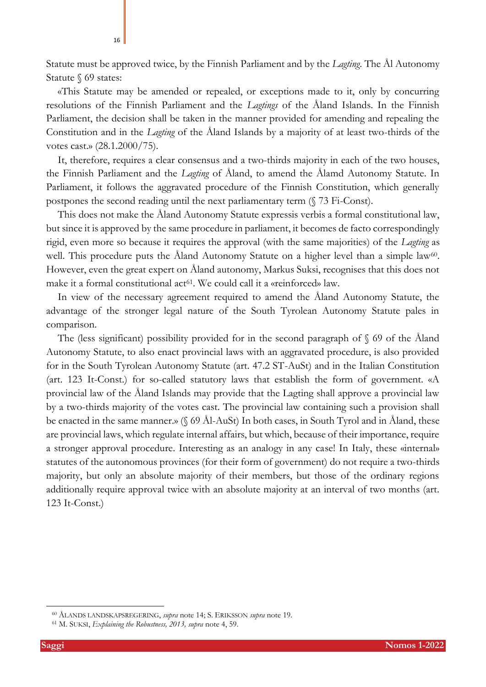Statute must be approved twice, by the Finnish Parliament and by the *Lagting*. The Ål Autonomy Statute § 69 states:

16

«This Statute may be amended or repealed, or exceptions made to it, only by concurring resolutions of the Finnish Parliament and the *Lagtings* of the Åland Islands. In the Finnish Parliament, the decision shall be taken in the manner provided for amending and repealing the Constitution and in the *Lagting* of the Åland Islands by a majority of at least two-thirds of the votes cast.» (28.1.2000/75).

It, therefore, requires a clear consensus and a two-thirds majority in each of the two houses, the Finnish Parliament and the *Lagting* of Åland, to amend the Ålamd Autonomy Statute. In Parliament, it follows the aggravated procedure of the Finnish Constitution, which generally postpones the second reading until the next parliamentary term (§ 73 Fi-Const).

This does not make the Åland Autonomy Statute expressis verbis a formal constitutional law, but since it is approved by the same procedure in parliament, it becomes de facto correspondingly rigid, even more so because it requires the approval (with the same majorities) of the *Lagting* as well. This procedure puts the Åland Autonomy Statute on a higher level than a simple law<sup>60</sup>. However, even the great expert on Åland autonomy, Markus Suksi, recognises that this does not make it a formal constitutional act<sup>61</sup>. We could call it a «reinforced» law.

In view of the necessary agreement required to amend the Åland Autonomy Statute, the advantage of the stronger legal nature of the South Tyrolean Autonomy Statute pales in comparison.

The (less significant) possibility provided for in the second paragraph of § 69 of the Åland Autonomy Statute, to also enact provincial laws with an aggravated procedure, is also provided for in the South Tyrolean Autonomy Statute (art. 47.2 ST-AuSt) and in the Italian Constitution (art. 123 It-Const.) for so-called statutory laws that establish the form of government. «A provincial law of the Åland Islands may provide that the Lagting shall approve a provincial law by a two-thirds majority of the votes cast. The provincial law containing such a provision shall be enacted in the same manner.» (§ 69 Ål-AuSt) In both cases, in South Tyrol and in Åland, these are provincial laws, which regulate internal affairs, but which, because of their importance, require a stronger approval procedure. Interesting as an analogy in any case! In Italy, these «internal» statutes of the autonomous provinces (for their form of government) do not require a two-thirds majority, but only an absolute majority of their members, but those of the ordinary regions additionally require approval twice with an absolute majority at an interval of two months (art. 123 It-Const.)

<sup>60</sup> ÅLANDS LANDSKAPSREGERING, *supra* note [14;](#page-4-2) S. ERIKSSON *supra* note [19.](#page-5-0)

<sup>61</sup> M. SUKSI, *Explaining the Robustness, 2013, supra* note [4,](#page-1-0) 59.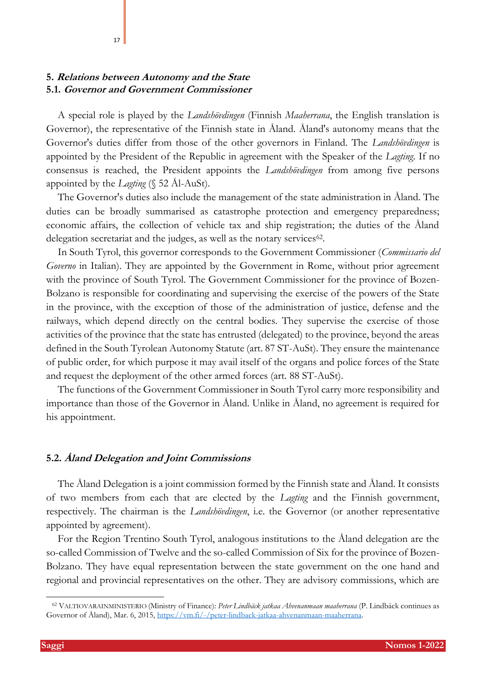### **5. Relations between Autonomy and the State 5.1. Governor and Government Commissioner**

17

A special role is played by the *Landshövdingen* (Finnish *Maaherrana*, the English translation is Governor), the representative of the Finnish state in Åland. Åland's autonomy means that the Governor's duties differ from those of the other governors in Finland. The *Landshövdingen* is appointed by the President of the Republic in agreement with the Speaker of the *Lagting*. If no consensus is reached, the President appoints the *Landshövdingen* from among five persons appointed by the *Lagting* (§ 52 Ål-AuSt).

The Governor's duties also include the management of the state administration in Åland. The duties can be broadly summarised as catastrophe protection and emergency preparedness; economic affairs, the collection of vehicle tax and ship registration; the duties of the Åland delegation secretariat and the judges, as well as the notary services<sup>62</sup>.

In South Tyrol, this governor corresponds to the Government Commissioner (*Commissario del Governo* in Italian). They are appointed by the Government in Rome, without prior agreement with the province of South Tyrol. The Government Commissioner for the province of Bozen-Bolzano is responsible for coordinating and supervising the exercise of the powers of the State in the province, with the exception of those of the administration of justice, defense and the railways, which depend directly on the central bodies. They supervise the exercise of those activities of the province that the state has entrusted (delegated) to the province, beyond the areas defined in the South Tyrolean Autonomy Statute (art. 87 ST-AuSt). They ensure the maintenance of public order, for which purpose it may avail itself of the organs and police forces of the State and request the deployment of the other armed forces (art. 88 ST-AuSt).

The functions of the Government Commissioner in South Tyrol carry more responsibility and importance than those of the Governor in Åland. Unlike in Åland, no agreement is required for his appointment.

### **5.2. Åland Delegation and Joint Commissions**

The Åland Delegation is a joint commission formed by the Finnish state and Åland. It consists of two members from each that are elected by the *Lagting* and the Finnish government, respectively. The chairman is the *Landshövdingen*, i.e. the Governor (or another representative appointed by agreement).

For the Region Trentino South Tyrol, analogous institutions to the Åland delegation are the so-called Commission of Twelve and the so-called Commission of Six for the province of Bozen-Bolzano. They have equal representation between the state government on the one hand and regional and provincial representatives on the other. They are advisory commissions, which are

<sup>62</sup> VALTIOVARAINMINISTERIO (Ministry of Finance): *Peter Lindbäck jatkaa Ahvenanmaan maaherrana* (P. Lindbäck continues as Governor of Åland), Mar. 6, 2015, [https://vm.fi/-/peter-lindback-jatkaa-ahvenanmaan-maaherrana.](about:blank)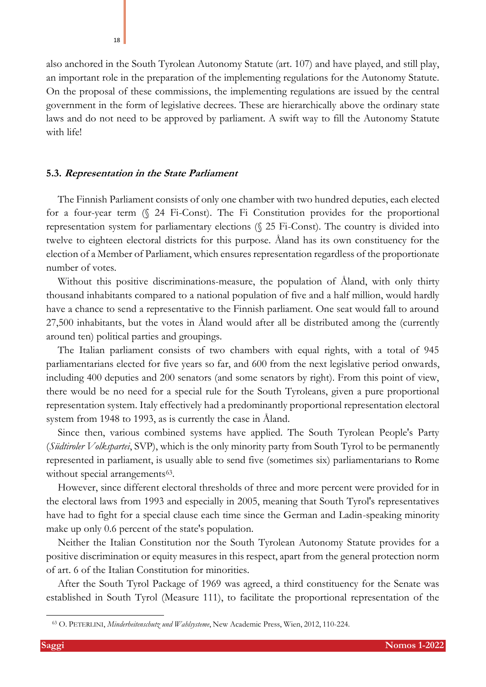also anchored in the South Tyrolean Autonomy Statute (art. 107) and have played, and still play, an important role in the preparation of the implementing regulations for the Autonomy Statute. On the proposal of these commissions, the implementing regulations are issued by the central government in the form of legislative decrees. These are hierarchically above the ordinary state laws and do not need to be approved by parliament. A swift way to fill the Autonomy Statute with life!

### **5.3. Representation in the State Parliament**

The Finnish Parliament consists of only one chamber with two hundred deputies, each elected for a four-year term (§ 24 Fi-Const). The Fi Constitution provides for the proportional representation system for parliamentary elections (§ 25 Fi-Const). The country is divided into twelve to eighteen electoral districts for this purpose. Åland has its own constituency for the election of a Member of Parliament, which ensures representation regardless of the proportionate number of votes.

Without this positive discriminations-measure, the population of Åland, with only thirty thousand inhabitants compared to a national population of five and a half million, would hardly have a chance to send a representative to the Finnish parliament. One seat would fall to around 27,500 inhabitants, but the votes in Åland would after all be distributed among the (currently around ten) political parties and groupings.

The Italian parliament consists of two chambers with equal rights, with a total of 945 parliamentarians elected for five years so far, and 600 from the next legislative period onwards, including 400 deputies and 200 senators (and some senators by right). From this point of view, there would be no need for a special rule for the South Tyroleans, given a pure proportional representation system. Italy effectively had a predominantly proportional representation electoral system from 1948 to 1993, as is currently the case in Åland.

Since then, various combined systems have applied. The South Tyrolean People's Party (*Südtiroler Volkspartei*, SVP), which is the only minority party from South Tyrol to be permanently represented in parliament, is usually able to send five (sometimes six) parliamentarians to Rome without special arrangements<sup>63</sup>.

However, since different electoral thresholds of three and more percent were provided for in the electoral laws from 1993 and especially in 2005, meaning that South Tyrol's representatives have had to fight for a special clause each time since the German and Ladin-speaking minority make up only 0.6 percent of the state's population.

Neither the Italian Constitution nor the South Tyrolean Autonomy Statute provides for a positive discrimination or equity measures in this respect, apart from the general protection norm of art. 6 of the Italian Constitution for minorities.

After the South Tyrol Package of 1969 was agreed, a third constituency for the Senate was established in South Tyrol (Measure 111), to facilitate the proportional representation of the

<sup>63</sup> O. PETERLINI, *Minderheitenschutz und Wahlsysteme*, New Academic Press, Wien, 2012, 110-224.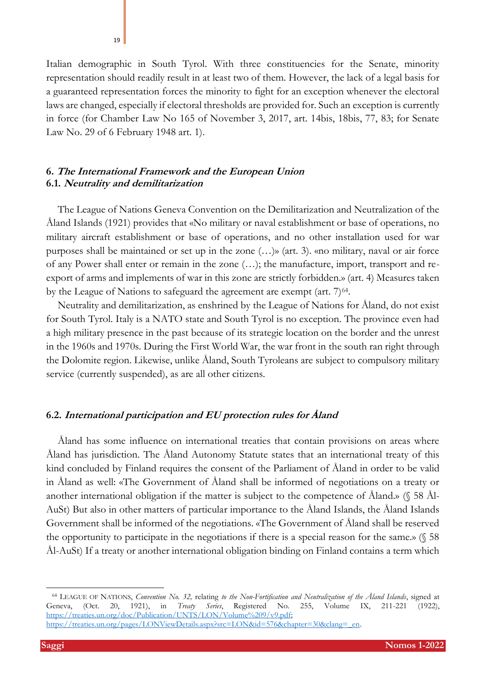Italian demographic in South Tyrol. With three constituencies for the Senate, minority representation should readily result in at least two of them. However, the lack of a legal basis for a guaranteed representation forces the minority to fight for an exception whenever the electoral laws are changed, especially if electoral thresholds are provided for. Such an exception is currently in force (for Chamber Law No 165 of November 3, 2017, art. 14bis, 18bis, 77, 83; for Senate Law No. 29 of 6 February 1948 art. 1).

## **6. The International Framework and the European Union 6.1. Neutrality and demilitarization**

The League of Nations Geneva Convention on the Demilitarization and Neutralization of the Åland Islands (1921) provides that «No military or naval establishment or base of operations, no military aircraft establishment or base of operations, and no other installation used for war purposes shall be maintained or set up in the zone (…)» (art. 3). «no military, naval or air force of any Power shall enter or remain in the zone (…); the manufacture, import, transport and reexport of arms and implements of war in this zone are strictly forbidden.» (art. 4) Measures taken by the League of Nations to safeguard the agreement are exempt (art.  $7)^{64}$ .

Neutrality and demilitarization, as enshrined by the League of Nations for Åland, do not exist for South Tyrol. Italy is a NATO state and South Tyrol is no exception. The province even had a high military presence in the past because of its strategic location on the border and the unrest in the 1960s and 1970s. During the First World War, the war front in the south ran right through the Dolomite region. Likewise, unlike Åland, South Tyroleans are subject to compulsory military service (currently suspended), as are all other citizens.

### <span id="page-18-0"></span>**6.2. International participation and EU protection rules for Åland**

Åland has some influence on international treaties that contain provisions on areas where Åland has jurisdiction. The Åland Autonomy Statute states that an international treaty of this kind concluded by Finland requires the consent of the Parliament of Åland in order to be valid in Åland as well: «The Government of Åland shall be informed of negotiations on a treaty or another international obligation if the matter is subject to the competence of Åland.» (§ 58 Ål-AuSt) But also in other matters of particular importance to the Åland Islands, the Åland Islands Government shall be informed of the negotiations. «The Government of Åland shall be reserved the opportunity to participate in the negotiations if there is a special reason for the same.» (§ 58 Ål-AuSt) If a treaty or another international obligation binding on Finland contains a term which

<sup>64</sup> LEAGUE OF NATIONS, *Convention No. 32,* relating *to the Non-Fortification and Neutralization of the Åland Islands*, signed at Geneva, (Oct. 20, 1921), in *Treaty Series*, Registered No. 255, Volume IX, 211-221 (1922), [https://treaties.un.org/doc/Publication/UNTS/LON/Volume%209/v9.pdf;](about:blank)  [https://treaties.un.org/pages/LONViewDetails.aspx?src=LON&id=576&chapter=30&clang=\\_en.](about:blank)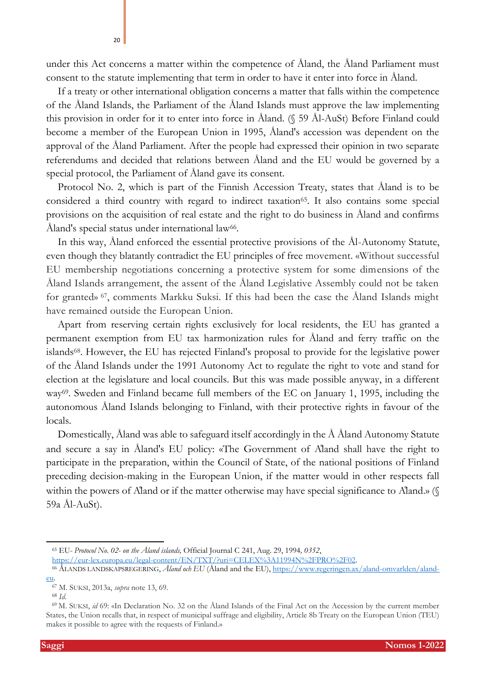under this Act concerns a matter within the competence of Åland, the Åland Parliament must consent to the statute implementing that term in order to have it enter into force in Åland.

If a treaty or other international obligation concerns a matter that falls within the competence of the Åland Islands, the Parliament of the Åland Islands must approve the law implementing this provision in order for it to enter into force in Åland. (§ 59 Ål-AuSt) Before Finland could become a member of the European Union in 1995, Åland's accession was dependent on the approval of the Åland Parliament. After the people had expressed their opinion in two separate referendums and decided that relations between Åland and the EU would be governed by a special protocol, the Parliament of Åland gave its consent.

Protocol No. 2, which is part of the Finnish Accession Treaty, states that Åland is to be considered a third country with regard to indirect taxation<sup>65</sup>. It also contains some special provisions on the acquisition of real estate and the right to do business in Åland and confirms Åland's special status under international law<sup>66</sup>.

In this way, Åland enforced the essential protective provisions of the Ål-Autonomy Statute, even though they blatantly contradict the EU principles of free movement. «Without successful EU membership negotiations concerning a protective system for some dimensions of the Åland Islands arrangement, the assent of the Åland Legislative Assembly could not be taken for granted» <sup>67</sup> , comments Markku Suksi. If this had been the case the Åland Islands might have remained outside the European Union.

Apart from reserving certain rights exclusively for local residents, the EU has granted a permanent exemption from EU tax harmonization rules for Åland and ferry traffic on the islands68. However, the EU has rejected Finland's proposal to provide for the legislative power of the Åland Islands under the 1991 Autonomy Act to regulate the right to vote and stand for election at the legislature and local councils. But this was made possible anyway, in a different way<sup>69</sup>. Sweden and Finland became full members of the EC on January 1, 1995, including the autonomous Åland Islands belonging to Finland, with their protective rights in favour of the locals.

Domestically, Åland was able to safeguard itself accordingly in the Å Åland Autonomy Statute and secure a say in Åland's EU policy: «The Government of Åland shall have the right to participate in the preparation, within the Council of State, of the national positions of Finland preceding decision-making in the European Union, if the matter would in other respects fall within the powers of Aland or if the matter otherwise may have special significance to Aland.» (§ 59a Ål-AuSt).

[https://eur-lex.europa.eu/legal-content/EN/TXT/?uri=CELEX%3A11994N%2FPRO%2F02.](about:blank) 

20

<sup>65</sup> EU- *Protocol No. 02- on the Åland islands,* Official Journal C 241, Aug. 29, 1994*, 0352*,

<sup>66</sup> ÅLANDS LANDSKAPSREGERING, *Åland och EU* (Åland and the EU), [https://www.regeringen.ax/aland-omvarlden/aland](about:blank)[eu.](about:blank)

<sup>67</sup> M. SUKSI, 2013a, *supra* note [13,](#page-4-1) 69.

<sup>68</sup> *Id.*

<sup>69</sup> M. SUKSI, *id* 69: «In Declaration No. 32 on the Åland Islands of the Final Act on the Accession by the current member States, the Union recalls that, in respect of municipal suffrage and eligibility, Article 8b Treaty on the European Union (TEU) makes it possible to agree with the requests of Finland.»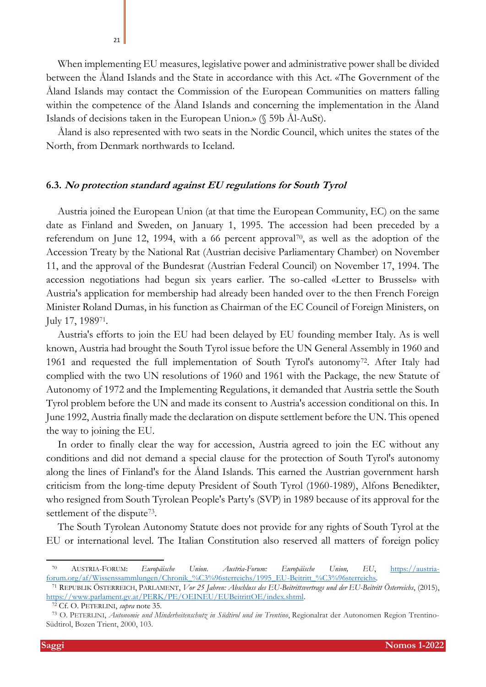When implementing EU measures, legislative power and administrative power shall be divided between the Åland Islands and the State in accordance with this Act. «The Government of the Åland Islands may contact the Commission of the European Communities on matters falling within the competence of the Åland Islands and concerning the implementation in the Åland Islands of decisions taken in the European Union.» (§ 59b Ål-AuSt).

Åland is also represented with two seats in the Nordic Council, which unites the states of the North, from Denmark northwards to Iceland.

### **6.3. No protection standard against EU regulations for South Tyrol**

Austria joined the European Union (at that time the European Community, EC) on the same date as Finland and Sweden, on January 1, 1995. The accession had been preceded by a referendum on June 12, 1994, with a 66 percent approval70, as well as the adoption of the Accession Treaty by the National Rat (Austrian decisive Parliamentary Chamber) on November 11, and the approval of the Bundesrat (Austrian Federal Council) on November 17, 1994. The accession negotiations had begun six years earlier. The so-called «Letter to Brussels» with Austria's application for membership had already been handed over to the then French Foreign Minister Roland Dumas, in his function as Chairman of the EC Council of Foreign Ministers, on July 17, 1989<sup>71</sup> .

Austria's efforts to join the EU had been delayed by EU founding member Italy. As is well known, Austria had brought the South Tyrol issue before the UN General Assembly in 1960 and 1961 and requested the full implementation of South Tyrol's autonomy<sup>72</sup>. After Italy had complied with the two UN resolutions of 1960 and 1961 with the Package, the new Statute of Autonomy of 1972 and the Implementing Regulations, it demanded that Austria settle the South Tyrol problem before the UN and made its consent to Austria's accession conditional on this. In June 1992, Austria finally made the declaration on dispute settlement before the UN. This opened the way to joining the EU.

In order to finally clear the way for accession, Austria agreed to join the EC without any conditions and did not demand a special clause for the protection of South Tyrol's autonomy along the lines of Finland's for the Åland Islands. This earned the Austrian government harsh criticism from the long-time deputy President of South Tyrol (1960-1989), Alfons Benedikter, who resigned from South Tyrolean People's Party's (SVP) in 1989 because of its approval for the settlement of the dispute<sup>73</sup>.

The South Tyrolean Autonomy Statute does not provide for any rights of South Tyrol at the EU or international level. The Italian Constitution also reserved all matters of foreign policy

21

<sup>70</sup> AUSTRIA-FORUM: *Europäische Union. Austria-Forum: Europäische Union, EU*, [https://austria](about:blank)[forum.org/af/Wissenssammlungen/Chronik\\_%C3%96sterreichs/1995\\_EU-Beitritt\\_%C3%96sterreichs.](about:blank) 

<sup>71</sup> REPUBLIK ÖSTERREICH, PARLAMENT, *Vor 25 Jahren: Abschluss des EU-Beitrittsvertrags und der EU-Beitritt Österreichs*, (2015), [https://www.parlament.gv.at/PERK/PE/OEINEU/EUBeitrittOE/index.shtml.](about:blank) 

<sup>72</sup> Cf. O. PETERLINI, *supra* note [35.](#page-7-0) 

<sup>73</sup> O. PETERLINI, *Autonomie und Minderheitenschutz in Südtirol und im Trentino*, Regionalrat der Autonomen Region Trentino-Südtirol, Bozen Trient, 2000, 103.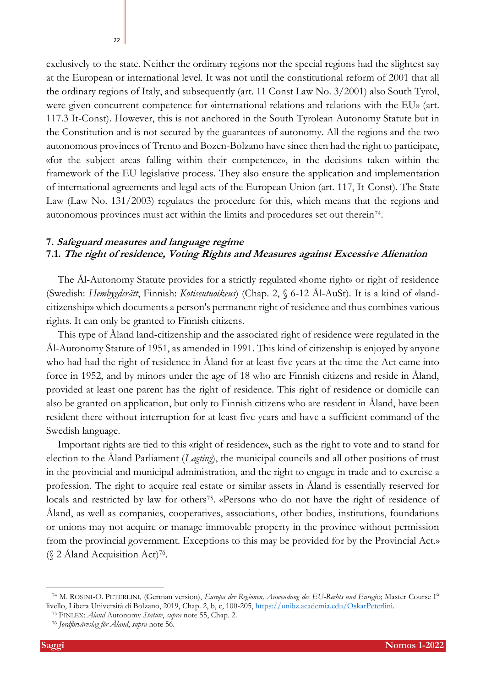exclusively to the state. Neither the ordinary regions nor the special regions had the slightest say at the European or international level. It was not until the constitutional reform of 2001 that all the ordinary regions of Italy, and subsequently (art. 11 Const Law No. 3/2001) also South Tyrol, were given concurrent competence for «international relations and relations with the EU» (art. 117.3 It-Const). However, this is not anchored in the South Tyrolean Autonomy Statute but in the Constitution and is not secured by the guarantees of autonomy. All the regions and the two autonomous provinces of Trento and Bozen-Bolzano have since then had the right to participate, «for the subject areas falling within their competence», in the decisions taken within the framework of the EU legislative process. They also ensure the application and implementation of international agreements and legal acts of the European Union (art. 117, It-Const). The State Law (Law No. 131/2003) regulates the procedure for this, which means that the regions and autonomous provinces must act within the limits and procedures set out therein<sup>74</sup>.

# **7. Safeguard measures and language regime 7.1. The right of residence, Voting Rights and Measures against Excessive Alienation**

The Ål-Autonomy Statute provides for a strictly regulated «home right» or right of residence (Swedish: *Hembygdsrätt*, Finnish: *Kotiseutuoikeus*) (Chap. 2, § 6-12 Ål-AuSt). It is a kind of «landcitizenship» which documents a person's permanent right of residence and thus combines various rights. It can only be granted to Finnish citizens.

This type of Åland land-citizenship and the associated right of residence were regulated in the Ål-Autonomy Statute of 1951, as amended in 1991. This kind of citizenship is enjoyed by anyone who had had the right of residence in Åland for at least five years at the time the Act came into force in 1952, and by minors under the age of 18 who are Finnish citizens and reside in Åland, provided at least one parent has the right of residence. This right of residence or domicile can also be granted on application, but only to Finnish citizens who are resident in Åland, have been resident there without interruption for at least five years and have a sufficient command of the Swedish language.

Important rights are tied to this «right of residence», such as the right to vote and to stand for election to the Åland Parliament (*Lagting*), the municipal councils and all other positions of trust in the provincial and municipal administration, and the right to engage in trade and to exercise a profession. The right to acquire real estate or similar assets in Åland is essentially reserved for locals and restricted by law for others<sup>75</sup>. «Persons who do not have the right of residence of Åland, as well as companies, cooperatives, associations, other bodies, institutions, foundations or unions may not acquire or manage immovable property in the province without permission from the provincial government. Exceptions to this may be provided for by the Provincial Act.» (§ 2 Åland Acquisition Act)<sup>76</sup> .

<sup>74</sup> M. ROSINI-O. PETERLINI*,* (German version), *Europa der Regionen, Anwendung des EU-Rechts und Euregi*o; Master Course I° livello, Libera Università di Bolzano, 2019, Chap. 2, b, c, 100-205, [https://unibz.academia.edu/OskarPeterlini.](about:blank)

<sup>75</sup> FINLEX: *Åland* Autonomy *Statute*, *supra* note [55,](#page-12-0) Chap. 2.

<sup>76</sup> *Jordförvärvslag för Åland*, *supra* note [56.](#page-13-0)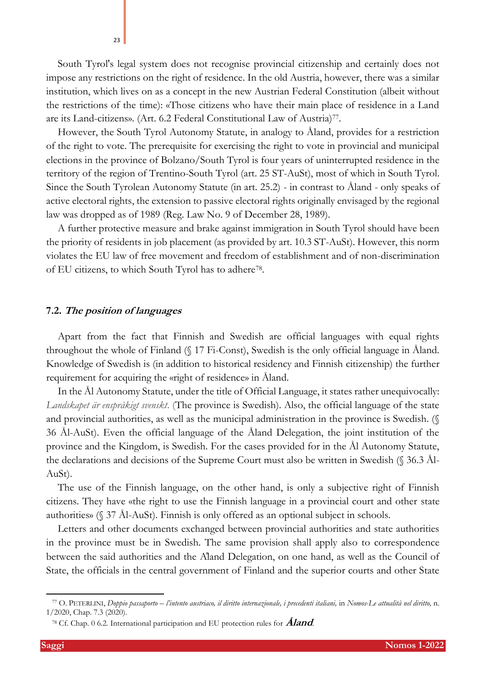South Tyrol's legal system does not recognise provincial citizenship and certainly does not impose any restrictions on the right of residence. In the old Austria, however, there was a similar institution, which lives on as a concept in the new Austrian Federal Constitution (albeit without the restrictions of the time): «Those citizens who have their main place of residence in a Land are its Land-citizens». (Art. 6.2 Federal Constitutional Law of Austria)<sup>77</sup>.

However, the South Tyrol Autonomy Statute, in analogy to Åland, provides for a restriction of the right to vote. The prerequisite for exercising the right to vote in provincial and municipal elections in the province of Bolzano/South Tyrol is four years of uninterrupted residence in the territory of the region of Trentino-South Tyrol (art. 25 ST-AuSt), most of which in South Tyrol. Since the South Tyrolean Autonomy Statute (in art. 25.2) - in contrast to Åland - only speaks of active electoral rights, the extension to passive electoral rights originally envisaged by the regional law was dropped as of 1989 (Reg. Law No. 9 of December 28, 1989).

A further protective measure and brake against immigration in South Tyrol should have been the priority of residents in job placement (as provided by art. 10.3 ST-AuSt). However, this norm violates the EU law of free movement and freedom of establishment and of non-discrimination of EU citizens, to which South Tyrol has to adhere<sup>78</sup>.

### **7.2. The position of languages**

23

Apart from the fact that Finnish and Swedish are official languages with equal rights throughout the whole of Finland (§ 17 Fi-Const), Swedish is the only official language in Åland. Knowledge of Swedish is (in addition to historical residency and Finnish citizenship) the further requirement for acquiring the «right of residence» in Åland.

In the Ål Autonomy Statute, under the title of Official Language, it states rather unequivocally: *Landskapet är enspråkigt svenskt*. (The province is Swedish). Also, the official language of the state and provincial authorities, as well as the municipal administration in the province is Swedish. (§ 36 Ål-AuSt). Even the official language of the Åland Delegation, the joint institution of the province and the Kingdom, is Swedish. For the cases provided for in the Ål Autonomy Statute, the declarations and decisions of the Supreme Court must also be written in Swedish (§ 36.3 Ål-AuSt).

The use of the Finnish language, on the other hand, is only a subjective right of Finnish citizens. They have «the right to use the Finnish language in a provincial court and other state authorities» (§ 37 Ål-AuSt). Finnish is only offered as an optional subject in schools.

Letters and other documents exchanged between provincial authorities and state authorities in the province must be in Swedish. The same provision shall apply also to correspondence between the said authorities and the Åland Delegation, on one hand, as well as the Council of State, the officials in the central government of Finland and the superior courts and other State

<sup>77</sup> O. PETERLINI, *Doppio passaporto – l'intento austriaco, il diritto internazionale, i precedenti italiani,* in *Nomos-Le attualità nel diritto,* n. 1/2020, Chap. 7.3 (2020).

<sup>78</sup> Cf. Chap. [0](#page-18-0) 6.2. [International participation and EU protection rules for](#page-18-0) **[Åland](#page-18-0)**.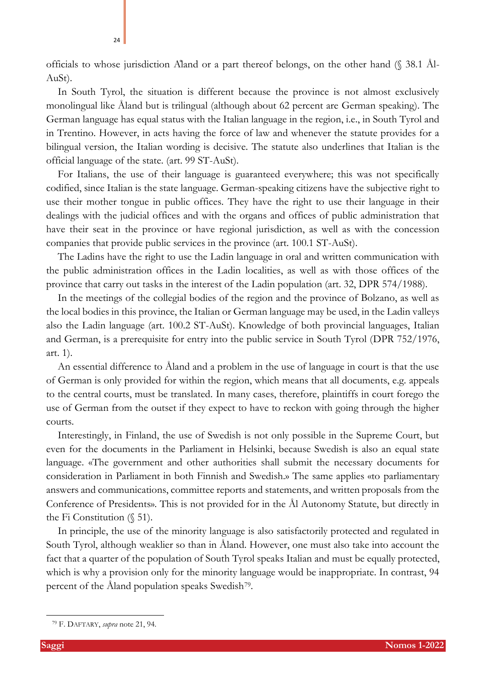officials to whose jurisdiction Åland or a part thereof belongs, on the other hand (§ 38.1 Ål-AuSt).

In South Tyrol, the situation is different because the province is not almost exclusively monolingual like Åland but is trilingual (although about 62 percent are German speaking). The German language has equal status with the Italian language in the region, i.e., in South Tyrol and in Trentino. However, in acts having the force of law and whenever the statute provides for a bilingual version, the Italian wording is decisive. The statute also underlines that Italian is the official language of the state. (art. 99 ST-AuSt).

For Italians, the use of their language is guaranteed everywhere; this was not specifically codified, since Italian is the state language. German-speaking citizens have the subjective right to use their mother tongue in public offices. They have the right to use their language in their dealings with the judicial offices and with the organs and offices of public administration that have their seat in the province or have regional jurisdiction, as well as with the concession companies that provide public services in the province (art. 100.1 ST-AuSt).

The Ladins have the right to use the Ladin language in oral and written communication with the public administration offices in the Ladin localities, as well as with those offices of the province that carry out tasks in the interest of the Ladin population (art. 32, DPR 574/1988).

In the meetings of the collegial bodies of the region and the province of Bolzano, as well as the local bodies in this province, the Italian or German language may be used, in the Ladin valleys also the Ladin language (art. 100.2 ST-AuSt). Knowledge of both provincial languages, Italian and German, is a prerequisite for entry into the public service in South Tyrol (DPR 752/1976, art. 1).

An essential difference to Åland and a problem in the use of language in court is that the use of German is only provided for within the region, which means that all documents, e.g. appeals to the central courts, must be translated. In many cases, therefore, plaintiffs in court forego the use of German from the outset if they expect to have to reckon with going through the higher courts.

Interestingly, in Finland, the use of Swedish is not only possible in the Supreme Court, but even for the documents in the Parliament in Helsinki, because Swedish is also an equal state language. «The government and other authorities shall submit the necessary documents for consideration in Parliament in both Finnish and Swedish.» The same applies «to parliamentary answers and communications, committee reports and statements, and written proposals from the Conference of Presidents». This is not provided for in the Ål Autonomy Statute, but directly in the Fi Constitution (§ 51).

In principle, the use of the minority language is also satisfactorily protected and regulated in South Tyrol, although weaklier so than in Åland. However, one must also take into account the fact that a quarter of the population of South Tyrol speaks Italian and must be equally protected, which is why a provision only for the minority language would be inappropriate. In contrast, 94 percent of the Åland population speaks Swedish<sup>79</sup> .

24

<sup>79</sup> F. DAFTARY, *supra* note [21,](#page-5-1) 94.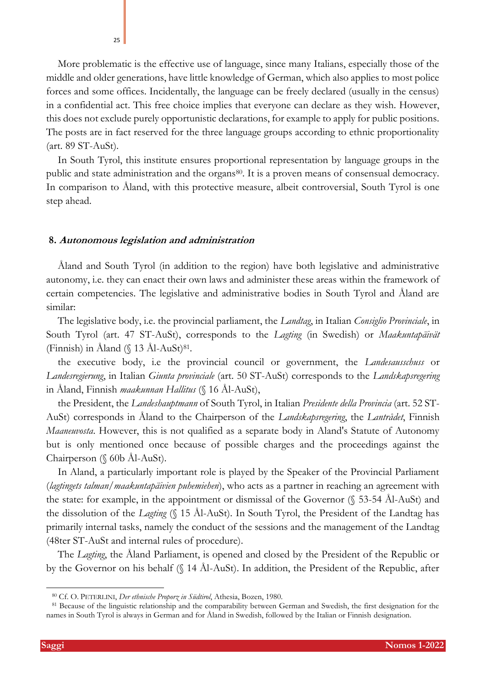More problematic is the effective use of language, since many Italians, especially those of the middle and older generations, have little knowledge of German, which also applies to most police forces and some offices. Incidentally, the language can be freely declared (usually in the census) in a confidential act. This free choice implies that everyone can declare as they wish. However, this does not exclude purely opportunistic declarations, for example to apply for public positions. The posts are in fact reserved for the three language groups according to ethnic proportionality (art. 89 ST-AuSt).

In South Tyrol, this institute ensures proportional representation by language groups in the public and state administration and the organs<sup>80</sup>. It is a proven means of consensual democracy. In comparison to Åland, with this protective measure, albeit controversial, South Tyrol is one step ahead.

#### **8. Autonomous legislation and administration**

Åland and South Tyrol (in addition to the region) have both legislative and administrative autonomy, i.e. they can enact their own laws and administer these areas within the framework of certain competencies. The legislative and administrative bodies in South Tyrol and Åland are similar:

The legislative body, i.e. the provincial parliament, the *Landtag*, in Italian *Consiglio Provinciale*, in South Tyrol (art. 47 ST-AuSt), corresponds to the *Lagting* (in Swedish) or *Maakuntapäivät* (Finnish) in Åland  $(\S$  13 Ål-AuSt)<sup>81</sup>.

the executive body, i.e the provincial council or government, the *Landesausschuss* or *Landesregierung*, in Italian *Giunta provinciale* (art. 50 ST-AuSt) corresponds to the *Landskapsregering* in Åland, Finnish *maakunnan Hallitus* (§ 16 Ål-AuSt),

the President, the *Landeshauptmann* of South Tyrol, in Italian *Presidente della Provincia* (art. 52 ST-AuSt) corresponds in Åland to the Chairperson of the *Landskapsregering*, the *Lantrådet*, Finnish *Maaneuvosta*. However, this is not qualified as a separate body in Aland's Statute of Autonomy but is only mentioned once because of possible charges and the proceedings against the Chairperson (§ 60b Ål-AuSt).

In Aland, a particularly important role is played by the Speaker of the Provincial Parliament (*lagtingets talman/maakuntapäivien puhemiehen*), who acts as a partner in reaching an agreement with the state: for example, in the appointment or dismissal of the Governor (§ 53-54 Ål-AuSt) and the dissolution of the *Lagting* (§ 15 Ål-AuSt). In South Tyrol, the President of the Landtag has primarily internal tasks, namely the conduct of the sessions and the management of the Landtag (48ter ST-AuSt and internal rules of procedure).

The *Lagting*, the Åland Parliament, is opened and closed by the President of the Republic or by the Governor on his behalf (§ 14 Ål-AuSt). In addition, the President of the Republic, after

25

<sup>80</sup> Cf. O. PETERLINI, *Der ethnische Proporz in Südtirol*, Athesia, Bozen, 1980.

<sup>&</sup>lt;sup>81</sup> Because of the linguistic relationship and the comparability between German and Swedish, the first designation for the names in South Tyrol is always in German and for Åland in Swedish, followed by the Italian or Finnish designation.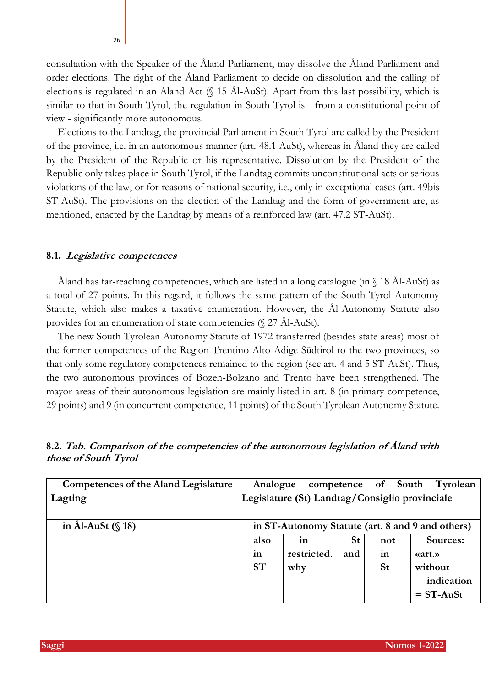consultation with the Speaker of the Åland Parliament, may dissolve the Åland Parliament and order elections. The right of the Åland Parliament to decide on dissolution and the calling of elections is regulated in an Åland Act (§ 15 Ål-AuSt). Apart from this last possibility, which is similar to that in South Tyrol, the regulation in South Tyrol is - from a constitutional point of view - significantly more autonomous.

Elections to the Landtag, the provincial Parliament in South Tyrol are called by the President of the province, i.e. in an autonomous manner (art. 48.1 AuSt), whereas in Åland they are called by the President of the Republic or his representative. Dissolution by the President of the Republic only takes place in South Tyrol, if the Landtag commits unconstitutional acts or serious violations of the law, or for reasons of national security, i.e., only in exceptional cases (art. 49bis ST-AuSt). The provisions on the election of the Landtag and the form of government are, as mentioned, enacted by the Landtag by means of a reinforced law (art. 47.2 ST-AuSt).

#### **8.1. Legislative competences**

Åland has far-reaching competencies, which are listed in a long catalogue (in § 18 Ål-AuSt) as a total of 27 points. In this regard, it follows the same pattern of the South Tyrol Autonomy Statute, which also makes a taxative enumeration. However, the Ål-Autonomy Statute also provides for an enumeration of state competencies (§ 27 Ål-AuSt).

The new South Tyrolean Autonomy Statute of 1972 transferred (besides state areas) most of the former competences of the Region Trentino Alto Adige-Südtirol to the two provinces, so that only some regulatory competences remained to the region (see art. 4 and 5 ST-AuSt). Thus, the two autonomous provinces of Bozen-Bolzano and Trento have been strengthened. The mayor areas of their autonomous legislation are mainly listed in art. 8 (in primary competence, 29 points) and 9 (in concurrent competence, 11 points) of the South Tyrolean Autonomy Statute.

| <b>Competences of the Aland Legislature</b> | Analogue                                       |              |           |           | competence of South Tyrolean                     |
|---------------------------------------------|------------------------------------------------|--------------|-----------|-----------|--------------------------------------------------|
| Lagting                                     | Legislature (St) Landtag/Consiglio provinciale |              |           |           |                                                  |
|                                             |                                                |              |           |           |                                                  |
| in Ål-AuSt $(\S 18)$                        |                                                |              |           |           | in ST-Autonomy Statute (art. 8 and 9 and others) |
|                                             | also                                           | $\mathbf{m}$ | <b>St</b> | not       | Sources:                                         |
|                                             | in                                             | restricted.  | and       | in        | «art.»                                           |
|                                             | <b>ST</b>                                      | why          |           | <b>St</b> | without                                          |
|                                             |                                                |              |           |           | indication                                       |
|                                             |                                                |              |           |           | $=$ ST-AuSt                                      |

**8.2. Tab. Comparison of the competencies of the autonomous legislation of Åland with those of South Tyrol**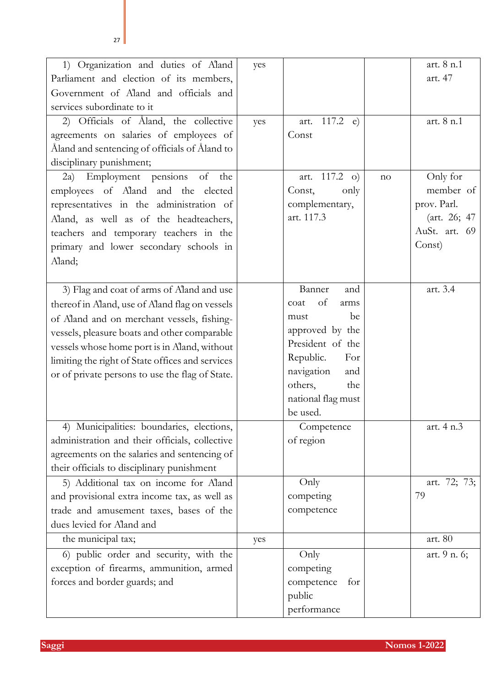| 1) Organization and duties of Aland<br>Parliament and election of its members,<br>Government of Aland and officials and          | yes |                                      |    | art. 8 n.1<br>art. 47 |
|----------------------------------------------------------------------------------------------------------------------------------|-----|--------------------------------------|----|-----------------------|
| services subordinate to it                                                                                                       |     |                                      |    |                       |
| 2) Officials of Åland, the collective<br>agreements on salaries of employees of<br>Åland and sentencing of officials of Åland to | yes | 117.2 $e)$<br>art.<br>Const          |    | art. 8 n.1            |
| disciplinary punishment;                                                                                                         |     |                                      |    |                       |
| Employment pensions of<br>the<br>(2a)<br>employees of Aland and the elected                                                      |     | $117.2$ o)<br>art.<br>Const,<br>only | no | Only for<br>member of |
| representatives in the administration of                                                                                         |     | complementary,                       |    | prov. Parl.           |
| Aland, as well as of the headteachers,                                                                                           |     | art. 117.3                           |    | (art. 26; 47)         |
| teachers and temporary teachers in the                                                                                           |     |                                      |    | AuSt. art. 69         |
| primary and lower secondary schools in                                                                                           |     |                                      |    | Const)                |
| Aland;                                                                                                                           |     |                                      |    |                       |
|                                                                                                                                  |     |                                      |    |                       |
| 3) Flag and coat of arms of Aland and use                                                                                        |     | Banner<br>and                        |    | art. 3.4              |
| thereof in Aland, use of Aland flag on vessels                                                                                   |     | of<br>coat<br>arms                   |    |                       |
| of Aland and on merchant vessels, fishing-                                                                                       |     | be<br>must                           |    |                       |
| vessels, pleasure boats and other comparable                                                                                     |     | approved by the                      |    |                       |
| vessels whose home port is in Aland, without                                                                                     |     | President of the                     |    |                       |
| limiting the right of State offices and services                                                                                 |     | Republic.<br>For                     |    |                       |
| or of private persons to use the flag of State.                                                                                  |     | navigation<br>and                    |    |                       |
|                                                                                                                                  |     | others,<br>the                       |    |                       |
|                                                                                                                                  |     | national flag must                   |    |                       |
|                                                                                                                                  |     | be used.                             |    |                       |
| 4) Municipalities: boundaries, elections,                                                                                        |     | Competence                           |    | art. 4 n.3            |
| administration and their officials, collective                                                                                   |     | of region                            |    |                       |
| agreements on the salaries and sentencing of                                                                                     |     |                                      |    |                       |
| their officials to disciplinary punishment                                                                                       |     |                                      |    |                       |
| 5) Additional tax on income for Aland                                                                                            |     | Only                                 |    | art. 72; 73;          |
| and provisional extra income tax, as well as                                                                                     |     | competing                            |    | 79                    |
| trade and amusement taxes, bases of the                                                                                          |     | competence                           |    |                       |
| dues levied for Aland and                                                                                                        |     |                                      |    |                       |
| the municipal tax;                                                                                                               | yes |                                      |    | art. 80               |
| 6) public order and security, with the                                                                                           |     | Only                                 |    | art. 9 n. 6;          |
| exception of firearms, ammunition, armed                                                                                         |     | competing                            |    |                       |
| forces and border guards; and                                                                                                    |     | competence<br>for                    |    |                       |
|                                                                                                                                  |     | public                               |    |                       |
|                                                                                                                                  |     | performance                          |    |                       |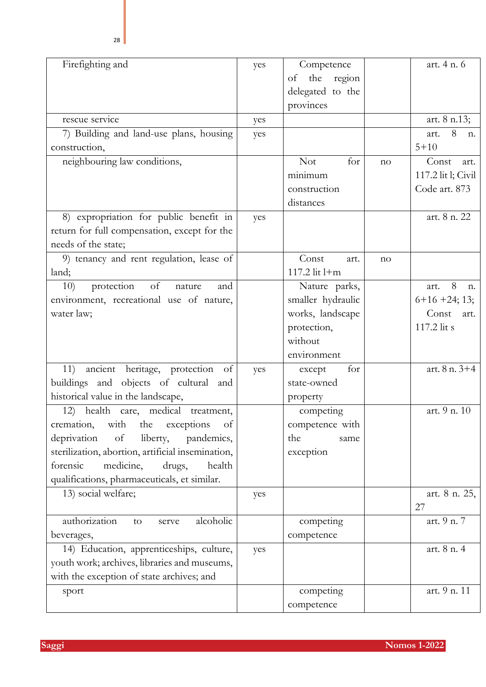| Firefighting and                                  | yes | Competence        |    | art. 4 n. 6        |
|---------------------------------------------------|-----|-------------------|----|--------------------|
|                                                   |     | the region<br>of  |    |                    |
|                                                   |     | delegated to the  |    |                    |
|                                                   |     | provinces         |    |                    |
| rescue service                                    | yes |                   |    | art. 8 n.13;       |
| 7) Building and land-use plans, housing           | yes |                   |    | 8<br>art.<br>n.    |
| construction,                                     |     |                   |    | $5 + 10$           |
| neighbouring law conditions,                      |     | <b>Not</b><br>for | no | Const<br>art.      |
|                                                   |     | minimum           |    | 117.2 lit l; Civil |
|                                                   |     | construction      |    | Code art. 873      |
|                                                   |     | distances         |    |                    |
| 8) expropriation for public benefit in            | yes |                   |    | art. 8 n. 22       |
| return for full compensation, except for the      |     |                   |    |                    |
| needs of the state;                               |     |                   |    |                    |
| 9) tenancy and rent regulation, lease of          |     | Const<br>art.     | no |                    |
| land;                                             |     | 117.2 lit l+m     |    |                    |
| protection<br>of<br>10)<br>nature<br>and          |     | Nature parks,     |    | 8<br>art.<br>n.    |
| environment, recreational use of nature,          |     | smaller hydraulic |    | $6+16+24$ ; 13;    |
| water law;                                        |     | works, landscape  |    | Const<br>art.      |
|                                                   |     | protection,       |    | 117.2 lit s        |
|                                                   |     | without           |    |                    |
|                                                   |     | environment       |    |                    |
| ancient heritage, protection<br>11)<br>of         | yes | for<br>except     |    | art. 8 n. 3+4      |
| buildings and objects of cultural and             |     | state-owned       |    |                    |
| historical value in the landscape,                |     | property          |    |                    |
| 12) health care, medical treatment,               |     | competing         |    | art. 9 n. 10       |
| cremation, with the exceptions of                 |     | competence with   |    |                    |
| deprivation<br>liberty,<br>of<br>pandemics,       |     | the<br>same       |    |                    |
| sterilization, abortion, artificial insemination, |     | exception         |    |                    |
| forensic<br>medicine,<br>drugs,<br>health         |     |                   |    |                    |
| qualifications, pharmaceuticals, et similar.      |     |                   |    |                    |
| 13) social welfare;                               | yes |                   |    | art. 8 n. 25,      |
|                                                   |     |                   |    | 27                 |
| authorization<br>alcoholic<br>to<br>serve         |     | competing         |    | art. 9 n. 7        |
|                                                   |     |                   |    |                    |

art. 8 n. 3+4 art. 9 n. 10 art. 8 n. 25, 27 beverages, competence art. 9 n. 7 14) Education, apprenticeships, culture, youth work; archives, libraries and museums, with the exception of state archives; and  $yes$  art. 8 n. 4 sport competing art. 9 n. 11

competence

art. 4 n. 6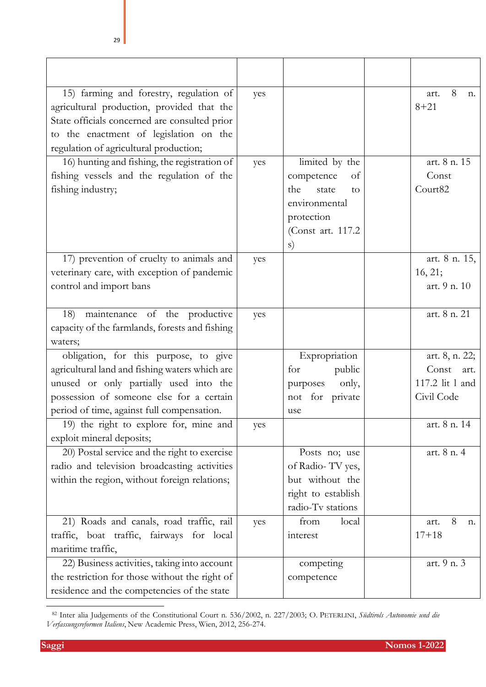| 15) farming and forestry, regulation of<br>agricultural production, provided that the<br>State officials concerned are consulted prior<br>to the enactment of legislation on the<br>regulation of agricultural production;  | yes |                                                                                                                     | 8<br>art.<br>n.<br>$8 + 21$                                      |
|-----------------------------------------------------------------------------------------------------------------------------------------------------------------------------------------------------------------------------|-----|---------------------------------------------------------------------------------------------------------------------|------------------------------------------------------------------|
| 16) hunting and fishing, the registration of<br>fishing vessels and the regulation of the<br>fishing industry;                                                                                                              | yes | limited by the<br>competence<br>of<br>the<br>state<br>to<br>environmental<br>protection<br>(Const art. 117.2)<br>s) | art. 8 n. 15<br>Const<br>Court <sub>82</sub>                     |
| 17) prevention of cruelty to animals and<br>veterinary care, with exception of pandemic<br>control and import bans                                                                                                          | yes |                                                                                                                     | art. 8 n. 15,<br>16, 21;<br>art. 9 n. 10                         |
| maintenance of the productive<br>18)<br>capacity of the farmlands, forests and fishing<br>waters;                                                                                                                           | yes |                                                                                                                     | art. 8 n. 21                                                     |
| obligation, for this purpose, to give<br>agricultural land and fishing waters which are<br>unused or only partially used into the<br>possession of someone else for a certain<br>period of time, against full compensation. |     | Expropriation<br>for<br>public<br>only,<br>purposes<br>not for private<br>use                                       | art. 8, n. 22;<br>Const<br>art.<br>117.2 lit 1 and<br>Civil Code |
| 19) the right to explore for, mine and<br>exploit mineral deposits;                                                                                                                                                         | yes |                                                                                                                     | art. 8 n. 14                                                     |
| 20) Postal service and the right to exercise<br>radio and television broadcasting activities<br>within the region, without foreign relations;                                                                               |     | Posts no; use<br>of Radio-TV yes,<br>but without the<br>right to establish<br>radio-Tv stations                     | art. 8 n. 4                                                      |
| 21) Roads and canals, road traffic, rail<br>traffic, boat traffic, fairways for local<br>maritime traffic,                                                                                                                  | yes | from<br>local<br>interest                                                                                           | 8<br>art.<br>n.<br>$17 + 18$                                     |
| 22) Business activities, taking into account<br>the restriction for those without the right of<br>residence and the competencies of the state                                                                               |     | competing<br>competence                                                                                             | art. 9 n. 3                                                      |

<sup>82</sup> Inter alia Judgements of the Constitutional Court n. 536/2002, n. 227/2003; O. PETERLINI, *Südtirols Autonomie und die Verfassungsreformen Italiens*, New Academic Press, Wien, 2012, 256-274.

**Saggi Nomos 1-2022**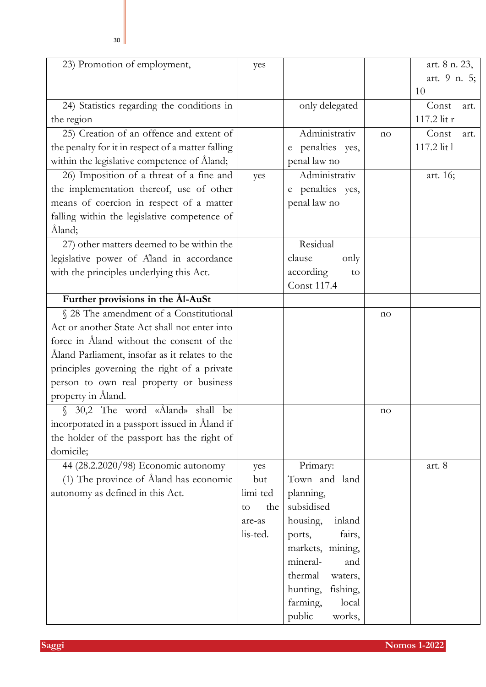| 23) Promotion of employment,                      | yes       |                      |    | art. 8 n. 23, |
|---------------------------------------------------|-----------|----------------------|----|---------------|
|                                                   |           |                      |    | art. 9 n. 5;  |
|                                                   |           |                      |    | 10            |
| 24) Statistics regarding the conditions in        |           | only delegated       |    | Const<br>art. |
| the region                                        |           |                      |    | 117.2 lit r   |
| 25) Creation of an offence and extent of          |           | Administrativ        | no | Const<br>art. |
| the penalty for it in respect of a matter falling |           | e penalties yes,     |    | 117.2 lit 1   |
| within the legislative competence of Åland;       |           | penal law no         |    |               |
| 26) Imposition of a threat of a fine and          | yes       | Administrativ        |    | art. 16;      |
| the implementation thereof, use of other          |           | e penalties yes,     |    |               |
| means of coercion in respect of a matter          |           | penal law no         |    |               |
| falling within the legislative competence of      |           |                      |    |               |
| Åland;                                            |           |                      |    |               |
| 27) other matters deemed to be within the         |           | Residual             |    |               |
| legislative power of Aland in accordance          |           | clause<br>only       |    |               |
| with the principles underlying this Act.          |           | according<br>to      |    |               |
|                                                   |           | <b>Const 117.4</b>   |    |               |
| Further provisions in the Ål-AuSt                 |           |                      |    |               |
| § 28 The amendment of a Constitutional            |           |                      | no |               |
| Act or another State Act shall not enter into     |           |                      |    |               |
| force in Åland without the consent of the         |           |                      |    |               |
| Åland Parliament, insofar as it relates to the    |           |                      |    |               |
| principles governing the right of a private       |           |                      |    |               |
| person to own real property or business           |           |                      |    |               |
| property in Åland.                                |           |                      |    |               |
| 30,2 The word «Åland» shall be<br>$\mathcal{L}$   |           |                      | no |               |
| incorporated in a passport issued in Åland if     |           |                      |    |               |
| the holder of the passport has the right of       |           |                      |    |               |
| domicile;                                         |           |                      |    |               |
| 44 (28.2.2020/98) Economic autonomy               | yes       | Primary:             |    | art. 8        |
| (1) The province of Åland has economic            | but       | Town and land        |    |               |
| autonomy as defined in this Act.                  | limi-ted  | planning,            |    |               |
|                                                   | the<br>to | subsidised           |    |               |
|                                                   | are-as    | housing,<br>inland   |    |               |
|                                                   | lis-ted.  | fairs,<br>ports,     |    |               |
|                                                   |           | markets, mining,     |    |               |
|                                                   |           | mineral-<br>and      |    |               |
|                                                   |           | thermal<br>waters,   |    |               |
|                                                   |           | hunting,<br>fishing, |    |               |
|                                                   |           | farming,<br>local    |    |               |
|                                                   |           | public<br>works,     |    |               |

**Saggi Nomos 1-2022**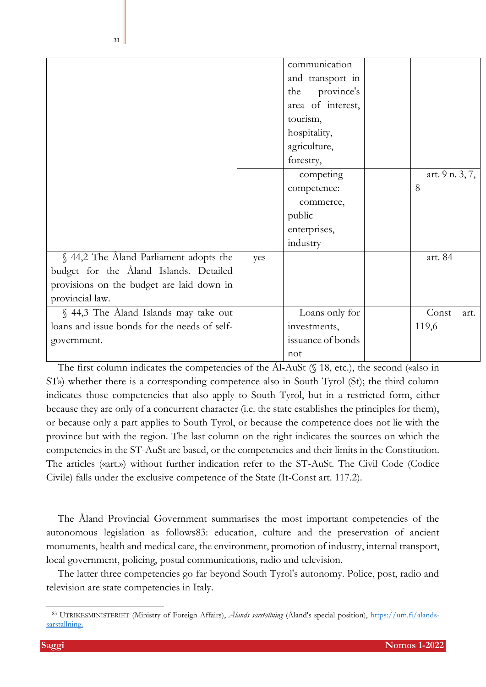|                                              |     | communication     |                 |
|----------------------------------------------|-----|-------------------|-----------------|
|                                              |     |                   |                 |
|                                              |     | and transport in  |                 |
|                                              |     | province's<br>the |                 |
|                                              |     | area of interest, |                 |
|                                              |     | tourism,          |                 |
|                                              |     | hospitality,      |                 |
|                                              |     | agriculture,      |                 |
|                                              |     | forestry,         |                 |
|                                              |     | competing         | art. 9 n. 3, 7, |
|                                              |     | competence:       | 8               |
|                                              |     | commerce,         |                 |
|                                              |     | public            |                 |
|                                              |     | enterprises,      |                 |
|                                              |     | industry          |                 |
| § 44,2 The Åland Parliament adopts the       | yes |                   | art. 84         |
| budget for the Åland Islands. Detailed       |     |                   |                 |
| provisions on the budget are laid down in    |     |                   |                 |
| provincial law.                              |     |                   |                 |
| § 44,3 The Åland Islands may take out        |     | Loans only for    | Const<br>art.   |
| loans and issue bonds for the needs of self- |     | investments,      | 119,6           |
| government.                                  |     | issuance of bonds |                 |
|                                              |     | not               |                 |

The first column indicates the competencies of the Ål-AuSt (§ 18, etc.), the second («also in ST») whether there is a corresponding competence also in South Tyrol (St); the third column indicates those competencies that also apply to South Tyrol, but in a restricted form, either because they are only of a concurrent character (i.e. the state establishes the principles for them), or because only a part applies to South Tyrol, or because the competence does not lie with the province but with the region. The last column on the right indicates the sources on which the competencies in the ST-AuSt are based, or the competencies and their limits in the Constitution. The articles («art.») without further indication refer to the ST-AuSt. The Civil Code (Codice Civile) falls under the exclusive competence of the State (It-Const art. 117.2).

The Åland Provincial Government summarises the most important competencies of the autonomous legislation as follows83: education, culture and the preservation of ancient monuments, health and medical care, the environment, promotion of industry, internal transport, local government, policing, postal communications, radio and television.

The latter three competencies go far beyond South Tyrol's autonomy. Police, post, radio and television are state competencies in Italy.

<sup>83</sup> UTRIKESMINISTERIET (Ministry of Foreign Affairs), *Ålands särställning* (Åland's special position), [https://um.fi/alands](about:blank)[sarstallning.](about:blank)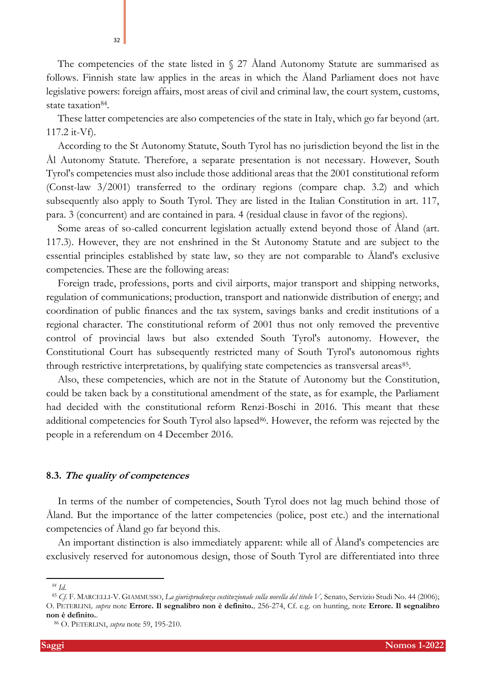The competencies of the state listed in  $\S$  27 Åland Autonomy Statute are summarised as follows. Finnish state law applies in the areas in which the Åland Parliament does not have legislative powers: foreign affairs, most areas of civil and criminal law, the court system, customs, state taxation84.

These latter competencies are also competencies of the state in Italy, which go far beyond (art. 117.2 it-Vf).

According to the St Autonomy Statute, South Tyrol has no jurisdiction beyond the list in the Ål Autonomy Statute. Therefore, a separate presentation is not necessary. However, South Tyrol's competencies must also include those additional areas that the 2001 constitutional reform (Const-law 3/2001) transferred to the ordinary regions (compare chap. 3.2) and which subsequently also apply to South Tyrol. They are listed in the Italian Constitution in art. 117, para. 3 (concurrent) and are contained in para. 4 (residual clause in favor of the regions).

Some areas of so-called concurrent legislation actually extend beyond those of Åland (art. 117.3). However, they are not enshrined in the St Autonomy Statute and are subject to the essential principles established by state law, so they are not comparable to Åland's exclusive competencies. These are the following areas:

Foreign trade, professions, ports and civil airports, major transport and shipping networks, regulation of communications; production, transport and nationwide distribution of energy; and coordination of public finances and the tax system, savings banks and credit institutions of a regional character. The constitutional reform of 2001 thus not only removed the preventive control of provincial laws but also extended South Tyrol's autonomy. However, the Constitutional Court has subsequently restricted many of South Tyrol's autonomous rights through restrictive interpretations, by qualifying state competencies as transversal areas<sup>85</sup>.

Also, these competencies, which are not in the Statute of Autonomy but the Constitution, could be taken back by a constitutional amendment of the state, as for example, the Parliament had decided with the constitutional reform Renzi-Boschi in 2016. This meant that these additional competencies for South Tyrol also lapsed<sup>86</sup>. However, the reform was rejected by the people in a referendum on 4 December 2016.

### **8.3. The quality of competences**

In terms of the number of competencies, South Tyrol does not lag much behind those of Åland. But the importance of the latter competencies (police, post etc.) and the international competencies of Åland go far beyond this.

An important distinction is also immediately apparent: while all of Åland's competencies are exclusively reserved for autonomous design, those of South Tyrol are differentiated into three

*<sup>84</sup> Id.*

<sup>85</sup> *Cf.* F. MARCELLI-V. GIAMMUSSO, *La giurisprudenza costituzionale sulla novella del titolo V,* Senato, Servizio Studi No. 44 (2006); O. PETERLINI*, supra* note **Errore. Il segnalibro non è definito.***,* 256-274, Cf. e.g. on hunting, note **Errore. Il segnalibro non è definito.**.

<sup>86</sup> O. PETERLINI, *supra* note [59,](#page-14-0) 195-210.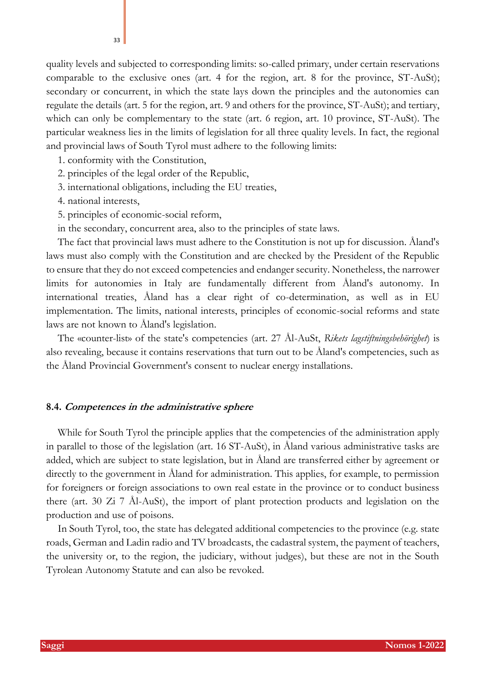quality levels and subjected to corresponding limits: so-called primary, under certain reservations comparable to the exclusive ones (art. 4 for the region, art. 8 for the province, ST-AuSt); secondary or concurrent, in which the state lays down the principles and the autonomies can regulate the details (art. 5 for the region, art. 9 and others for the province, ST-AuSt); and tertiary, which can only be complementary to the state (art. 6 region, art. 10 province, ST-AuSt). The particular weakness lies in the limits of legislation for all three quality levels. In fact, the regional and provincial laws of South Tyrol must adhere to the following limits:

- 1. conformity with the Constitution,
- 2. principles of the legal order of the Republic,
- 3. international obligations, including the EU treaties,
- 4. national interests,
- 5. principles of economic-social reform,
- in the secondary, concurrent area, also to the principles of state laws.

The fact that provincial laws must adhere to the Constitution is not up for discussion. Åland's laws must also comply with the Constitution and are checked by the President of the Republic to ensure that they do not exceed competencies and endanger security. Nonetheless, the narrower limits for autonomies in Italy are fundamentally different from Åland's autonomy. In international treaties, Åland has a clear right of co-determination, as well as in EU implementation. The limits, national interests, principles of economic-social reforms and state laws are not known to Åland's legislation.

The «counter-list» of the state's competencies (art. 27 Ål-AuSt, *Rikets lagstiftningsbehörighet*) is also revealing, because it contains reservations that turn out to be Åland's competencies, such as the Åland Provincial Government's consent to nuclear energy installations.

### **8.4. Competences in the administrative sphere**

While for South Tyrol the principle applies that the competencies of the administration apply in parallel to those of the legislation (art. 16 ST-AuSt), in Åland various administrative tasks are added, which are subject to state legislation, but in Åland are transferred either by agreement or directly to the government in Åland for administration. This applies, for example, to permission for foreigners or foreign associations to own real estate in the province or to conduct business there (art. 30 Zi 7 Ål-AuSt), the import of plant protection products and legislation on the production and use of poisons.

In South Tyrol, too, the state has delegated additional competencies to the province (e.g. state roads, German and Ladin radio and TV broadcasts, the cadastral system, the payment of teachers, the university or, to the region, the judiciary, without judges), but these are not in the South Tyrolean Autonomy Statute and can also be revoked.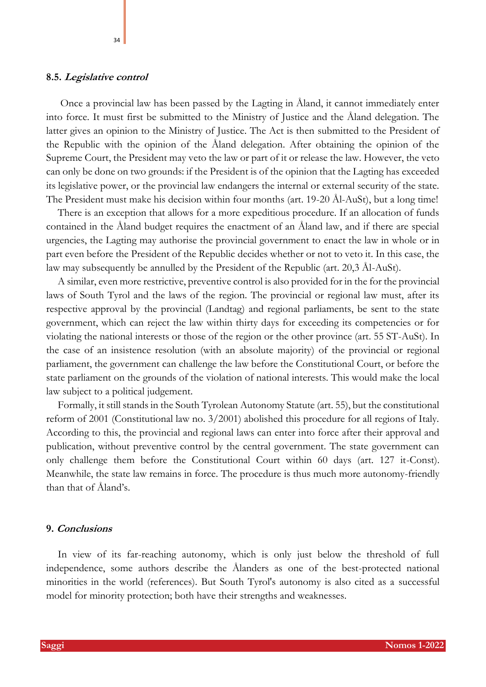### **8.5. Legislative control**

Once a provincial law has been passed by the Lagting in Åland, it cannot immediately enter into force. It must first be submitted to the Ministry of Justice and the Åland delegation. The latter gives an opinion to the Ministry of Justice. The Act is then submitted to the President of the Republic with the opinion of the Åland delegation. After obtaining the opinion of the Supreme Court, the President may veto the law or part of it or release the law. However, the veto can only be done on two grounds: if the President is of the opinion that the Lagting has exceeded its legislative power, or the provincial law endangers the internal or external security of the state. The President must make his decision within four months (art. 19-20 Ål-AuSt), but a long time!

There is an exception that allows for a more expeditious procedure. If an allocation of funds contained in the Åland budget requires the enactment of an Åland law, and if there are special urgencies, the Lagting may authorise the provincial government to enact the law in whole or in part even before the President of the Republic decides whether or not to veto it. In this case, the law may subsequently be annulled by the President of the Republic (art. 20,3 Ål-AuSt).

A similar, even more restrictive, preventive control is also provided for in the for the provincial laws of South Tyrol and the laws of the region. The provincial or regional law must, after its respective approval by the provincial (Landtag) and regional parliaments, be sent to the state government, which can reject the law within thirty days for exceeding its competencies or for violating the national interests or those of the region or the other province (art. 55 ST-AuSt). In the case of an insistence resolution (with an absolute majority) of the provincial or regional parliament, the government can challenge the law before the Constitutional Court, or before the state parliament on the grounds of the violation of national interests. This would make the local law subject to a political judgement.

Formally, it still stands in the South Tyrolean Autonomy Statute (art. 55), but the constitutional reform of 2001 (Constitutional law no. 3/2001) abolished this procedure for all regions of Italy. According to this, the provincial and regional laws can enter into force after their approval and publication, without preventive control by the central government. The state government can only challenge them before the Constitutional Court within 60 days (art. 127 it-Const). Meanwhile, the state law remains in force. The procedure is thus much more autonomy-friendly than that of Åland's.

### **9. Conclusions**

In view of its far-reaching autonomy, which is only just below the threshold of full independence, some authors describe the Ålanders as one of the best-protected national minorities in the world (references). But South Tyrol's autonomy is also cited as a successful model for minority protection; both have their strengths and weaknesses.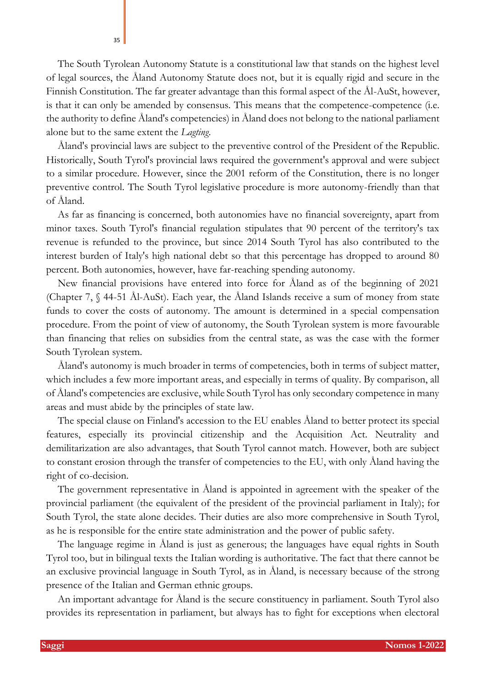The South Tyrolean Autonomy Statute is a constitutional law that stands on the highest level of legal sources, the Åland Autonomy Statute does not, but it is equally rigid and secure in the Finnish Constitution. The far greater advantage than this formal aspect of the Ål-AuSt, however, is that it can only be amended by consensus. This means that the competence-competence (i.e. the authority to define Åland's competencies) in Åland does not belong to the national parliament alone but to the same extent the *Lagting*.

Åland's provincial laws are subject to the preventive control of the President of the Republic. Historically, South Tyrol's provincial laws required the government's approval and were subject to a similar procedure. However, since the 2001 reform of the Constitution, there is no longer preventive control. The South Tyrol legislative procedure is more autonomy-friendly than that of Åland.

As far as financing is concerned, both autonomies have no financial sovereignty, apart from minor taxes. South Tyrol's financial regulation stipulates that 90 percent of the territory's tax revenue is refunded to the province, but since 2014 South Tyrol has also contributed to the interest burden of Italy's high national debt so that this percentage has dropped to around 80 percent. Both autonomies, however, have far-reaching spending autonomy.

New financial provisions have entered into force for Åland as of the beginning of 2021 (Chapter 7, § 44-51 Ål-AuSt). Each year, the Åland Islands receive a sum of money from state funds to cover the costs of autonomy. The amount is determined in a special compensation procedure. From the point of view of autonomy, the South Tyrolean system is more favourable than financing that relies on subsidies from the central state, as was the case with the former South Tyrolean system.

Åland's autonomy is much broader in terms of competencies, both in terms of subject matter, which includes a few more important areas, and especially in terms of quality. By comparison, all of Åland's competencies are exclusive, while South Tyrol has only secondary competence in many areas and must abide by the principles of state law.

The special clause on Finland's accession to the EU enables Åland to better protect its special features, especially its provincial citizenship and the Acquisition Act. Neutrality and demilitarization are also advantages, that South Tyrol cannot match. However, both are subject to constant erosion through the transfer of competencies to the EU, with only Åland having the right of co-decision.

The government representative in Åland is appointed in agreement with the speaker of the provincial parliament (the equivalent of the president of the provincial parliament in Italy); for South Tyrol, the state alone decides. Their duties are also more comprehensive in South Tyrol, as he is responsible for the entire state administration and the power of public safety.

The language regime in Åland is just as generous; the languages have equal rights in South Tyrol too, but in bilingual texts the Italian wording is authoritative. The fact that there cannot be an exclusive provincial language in South Tyrol, as in Åland, is necessary because of the strong presence of the Italian and German ethnic groups.

An important advantage for Åland is the secure constituency in parliament. South Tyrol also provides its representation in parliament, but always has to fight for exceptions when electoral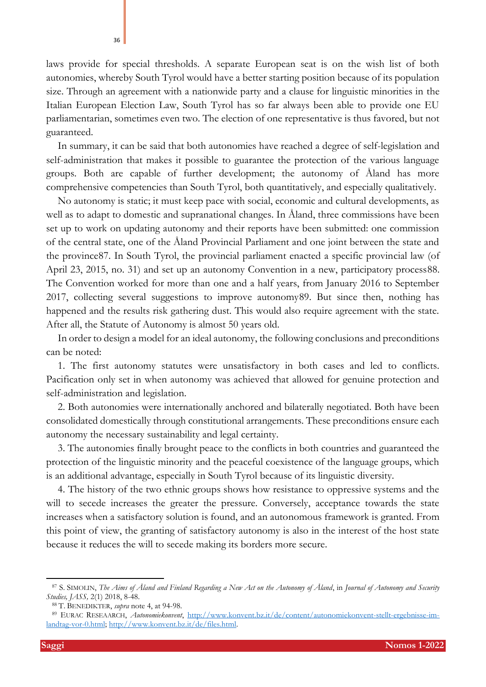laws provide for special thresholds. A separate European seat is on the wish list of both autonomies, whereby South Tyrol would have a better starting position because of its population size. Through an agreement with a nationwide party and a clause for linguistic minorities in the Italian European Election Law, South Tyrol has so far always been able to provide one EU parliamentarian, sometimes even two. The election of one representative is thus favored, but not guaranteed.

In summary, it can be said that both autonomies have reached a degree of self-legislation and self-administration that makes it possible to guarantee the protection of the various language groups. Both are capable of further development; the autonomy of Åland has more comprehensive competencies than South Tyrol, both quantitatively, and especially qualitatively.

No autonomy is static; it must keep pace with social, economic and cultural developments, as well as to adapt to domestic and supranational changes. In Åland, three commissions have been set up to work on updating autonomy and their reports have been submitted: one commission of the central state, one of the Åland Provincial Parliament and one joint between the state and the province87. In South Tyrol, the provincial parliament enacted a specific provincial law (of April 23, 2015, no. 31) and set up an autonomy Convention in a new, participatory process88. The Convention worked for more than one and a half years, from January 2016 to September 2017, collecting several suggestions to improve autonomy89. But since then, nothing has happened and the results risk gathering dust. This would also require agreement with the state. After all, the Statute of Autonomy is almost 50 years old.

In order to design a model for an ideal autonomy, the following conclusions and preconditions can be noted:

1. The first autonomy statutes were unsatisfactory in both cases and led to conflicts. Pacification only set in when autonomy was achieved that allowed for genuine protection and self-administration and legislation.

2. Both autonomies were internationally anchored and bilaterally negotiated. Both have been consolidated domestically through constitutional arrangements. These preconditions ensure each autonomy the necessary sustainability and legal certainty.

3. The autonomies finally brought peace to the conflicts in both countries and guaranteed the protection of the linguistic minority and the peaceful coexistence of the language groups, which is an additional advantage, especially in South Tyrol because of its linguistic diversity.

4. The history of the two ethnic groups shows how resistance to oppressive systems and the will to secede increases the greater the pressure. Conversely, acceptance towards the state increases when a satisfactory solution is found, and an autonomous framework is granted. From this point of view, the granting of satisfactory autonomy is also in the interest of the host state because it reduces the will to secede making its borders more secure.

36

<sup>87</sup> S. SIMOLIN, *The Aims of Åland and Finland Regarding a New Act on the Autonomy of Åland*, in *Journal of Autonomy and Security Studies, JASS,* 2(1) 2018, 8-48.

<sup>88</sup> T. BENEDIKTER, *supra* note [4,](#page-1-0) at 94-98.

<sup>89</sup> EURAC RESEAARCH, *Autonomiekonvent*, [http://www.konvent.bz.it/de/content/autonomiekonvent-stellt-ergebnisse-im](about:blank)[landtag-vor-0.html; http://www.konvent.bz.it/de/files.html.](about:blank)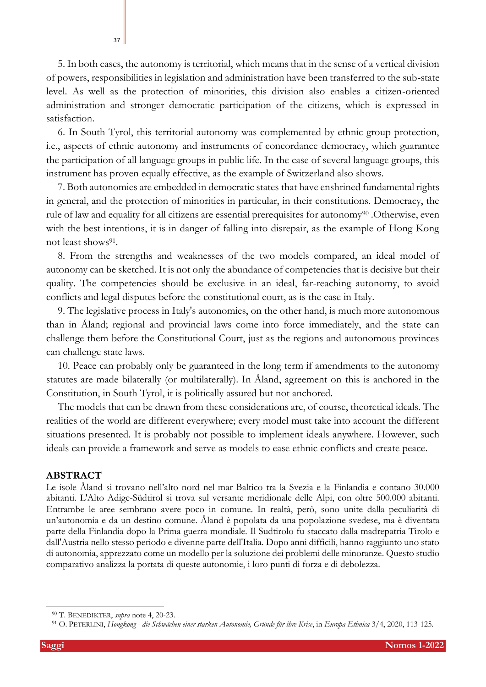5. In both cases, the autonomy is territorial, which means that in the sense of a vertical division of powers, responsibilities in legislation and administration have been transferred to the sub-state level. As well as the protection of minorities, this division also enables a citizen-oriented administration and stronger democratic participation of the citizens, which is expressed in satisfaction.

6. In South Tyrol, this territorial autonomy was complemented by ethnic group protection, i.e., aspects of ethnic autonomy and instruments of concordance democracy, which guarantee the participation of all language groups in public life. In the case of several language groups, this instrument has proven equally effective, as the example of Switzerland also shows.

7. Both autonomies are embedded in democratic states that have enshrined fundamental rights in general, and the protection of minorities in particular, in their constitutions. Democracy, the rule of law and equality for all citizens are essential prerequisites for autonomy<sup>90</sup>. Otherwise, even with the best intentions, it is in danger of falling into disrepair, as the example of Hong Kong not least shows<sup>91</sup>.

8. From the strengths and weaknesses of the two models compared, an ideal model of autonomy can be sketched. It is not only the abundance of competencies that is decisive but their quality. The competencies should be exclusive in an ideal, far-reaching autonomy, to avoid conflicts and legal disputes before the constitutional court, as is the case in Italy.

9. The legislative process in Italy's autonomies, on the other hand, is much more autonomous than in Åland; regional and provincial laws come into force immediately, and the state can challenge them before the Constitutional Court, just as the regions and autonomous provinces can challenge state laws.

10. Peace can probably only be guaranteed in the long term if amendments to the autonomy statutes are made bilaterally (or multilaterally). In Åland, agreement on this is anchored in the Constitution, in South Tyrol, it is politically assured but not anchored.

The models that can be drawn from these considerations are, of course, theoretical ideals. The realities of the world are different everywhere; every model must take into account the different situations presented. It is probably not possible to implement ideals anywhere. However, such ideals can provide a framework and serve as models to ease ethnic conflicts and create peace.

### **ABSTRACT**

Le isole Åland si trovano nell'alto nord nel mar Baltico tra la Svezia e la Finlandia e contano 30.000 abitanti. L'Alto Adige-Südtirol si trova sul versante meridionale delle Alpi, con oltre 500.000 abitanti. Entrambe le aree sembrano avere poco in comune. In realtà, però, sono unite dalla peculiarità di un'autonomia e da un destino comune. Åland è popolata da una popolazione svedese, ma è diventata parte della Finlandia dopo la Prima guerra mondiale. Il Sudtirolo fu staccato dalla madrepatria Tirolo e dall'Austria nello stesso periodo e divenne parte dell'Italia. Dopo anni difficili, hanno raggiunto uno stato di autonomia, apprezzato come un modello per la soluzione dei problemi delle minoranze. Questo studio comparativo analizza la portata di queste autonomie, i loro punti di forza e di debolezza.

<sup>90</sup> T. BENEDIKTER, *supra* note [4,](#page-1-0) 20-23.

<sup>91</sup> O. PETERLINI, *Hongkong - die Schwächen einer starken Autonomie, Gründe für ihre Krise*, in *Europa Ethnica* 3/4, 2020, 113-125.